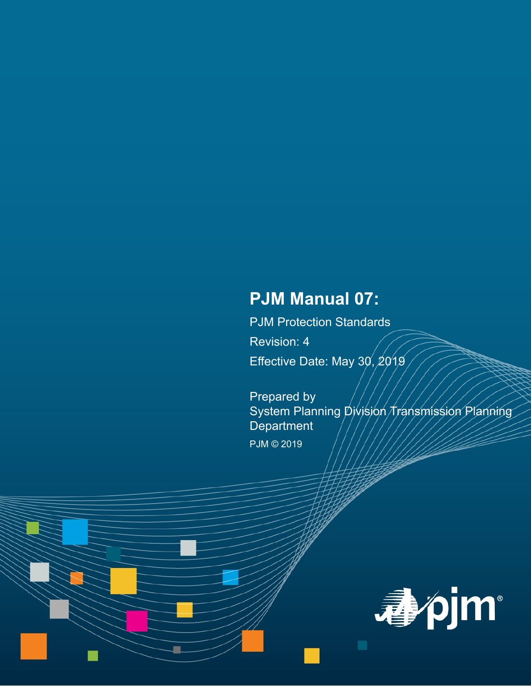# **PJM Manual 07:**

PJM Protection Standards Revision: 4 Effective Date: May 30, 2019

Prepared by System Planning Division Transmission Planning **Department** 

PJM © 2019

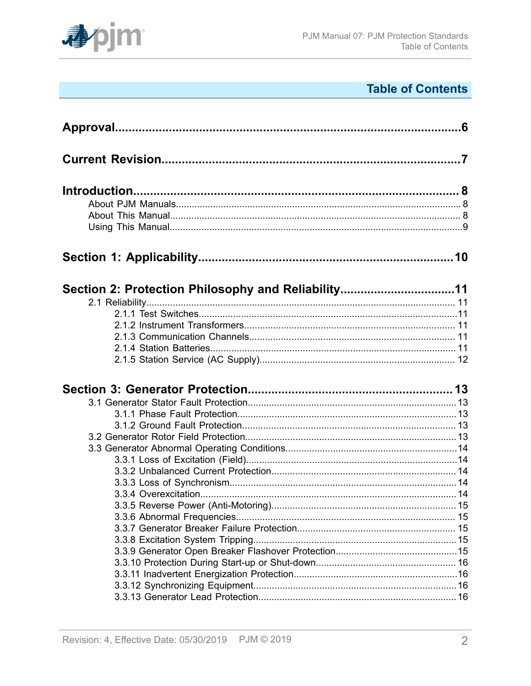

# **Table of Contents**

| Section 2: Protection Philosophy and Reliability11 |  |
|----------------------------------------------------|--|
|                                                    |  |
|                                                    |  |
|                                                    |  |
|                                                    |  |
|                                                    |  |
|                                                    |  |
|                                                    |  |
|                                                    |  |
|                                                    |  |
|                                                    |  |
|                                                    |  |
|                                                    |  |
|                                                    |  |
|                                                    |  |
|                                                    |  |
|                                                    |  |
|                                                    |  |
|                                                    |  |
|                                                    |  |
|                                                    |  |
|                                                    |  |
|                                                    |  |
|                                                    |  |
|                                                    |  |
|                                                    |  |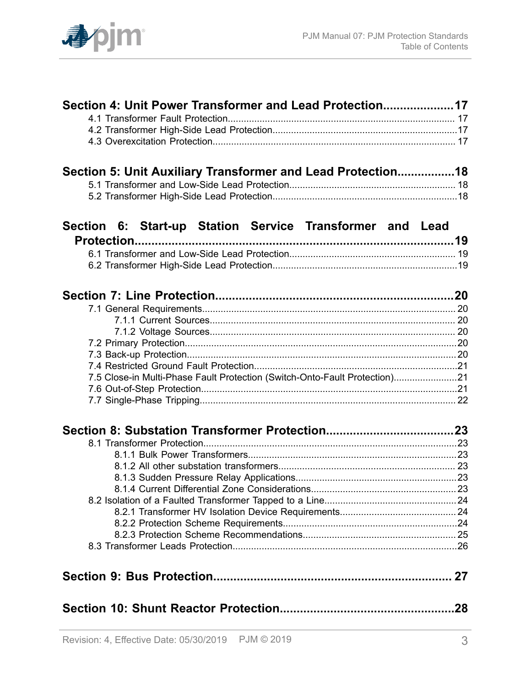

| Section 4: Unit Power Transformer and Lead Protection17                    |  |
|----------------------------------------------------------------------------|--|
|                                                                            |  |
|                                                                            |  |
|                                                                            |  |
|                                                                            |  |
| Section 5: Unit Auxiliary Transformer and Lead Protection18                |  |
|                                                                            |  |
|                                                                            |  |
|                                                                            |  |
| Section 6: Start-up Station Service Transformer and Lead                   |  |
|                                                                            |  |
|                                                                            |  |
|                                                                            |  |
|                                                                            |  |
|                                                                            |  |
|                                                                            |  |
|                                                                            |  |
|                                                                            |  |
|                                                                            |  |
|                                                                            |  |
|                                                                            |  |
| 7.5 Close-in Multi-Phase Fault Protection (Switch-Onto-Fault Protection)21 |  |
|                                                                            |  |
|                                                                            |  |
|                                                                            |  |
|                                                                            |  |
|                                                                            |  |
|                                                                            |  |
|                                                                            |  |
|                                                                            |  |
|                                                                            |  |
|                                                                            |  |
|                                                                            |  |
|                                                                            |  |
|                                                                            |  |
|                                                                            |  |
|                                                                            |  |
|                                                                            |  |
|                                                                            |  |
|                                                                            |  |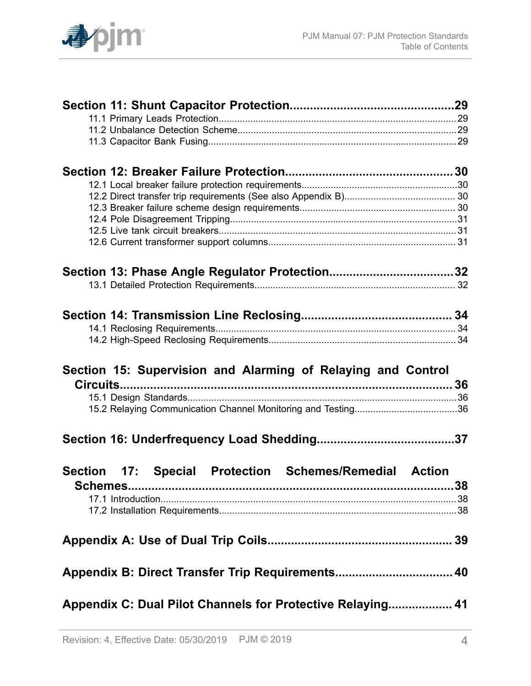

| Section 13: Phase Angle Regulator Protection32               |     |
|--------------------------------------------------------------|-----|
|                                                              |     |
|                                                              |     |
|                                                              |     |
|                                                              |     |
| Section 15: Supervision and Alarming of Relaying and Control |     |
|                                                              |     |
|                                                              |     |
|                                                              |     |
|                                                              | .37 |
|                                                              |     |
| Section 17: Special Protection Schemes/Remedial Action       |     |
|                                                              |     |
|                                                              |     |
|                                                              |     |
| Appendix B: Direct Transfer Trip Requirements 40             |     |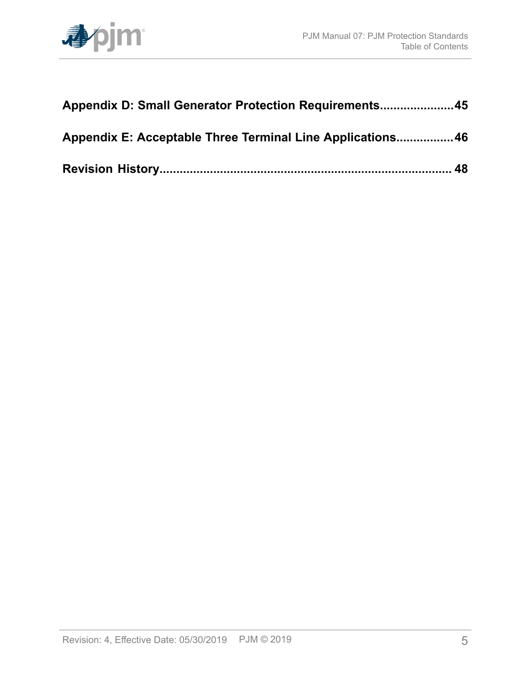

| Appendix D: Small Generator Protection Requirements45      |  |  |
|------------------------------------------------------------|--|--|
| Appendix E: Acceptable Three Terminal Line Applications 46 |  |  |
|                                                            |  |  |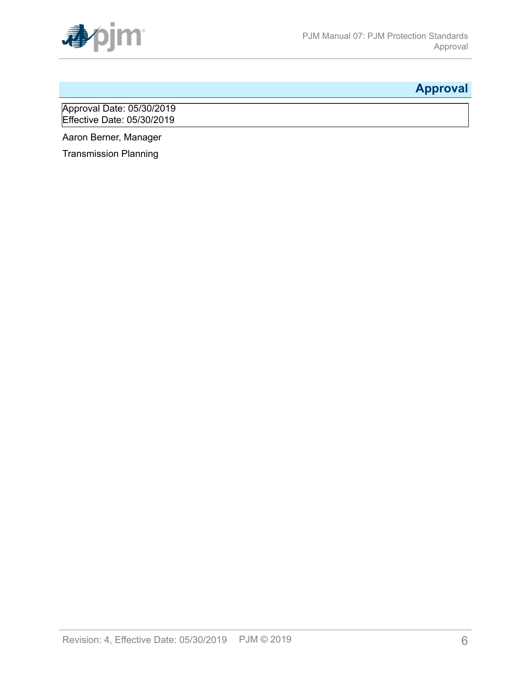

# <span id="page-5-0"></span>**Approval**

Approval Date: 05/30/2019 Effective Date: 05/30/2019

Aaron Berner, Manager

Transmission Planning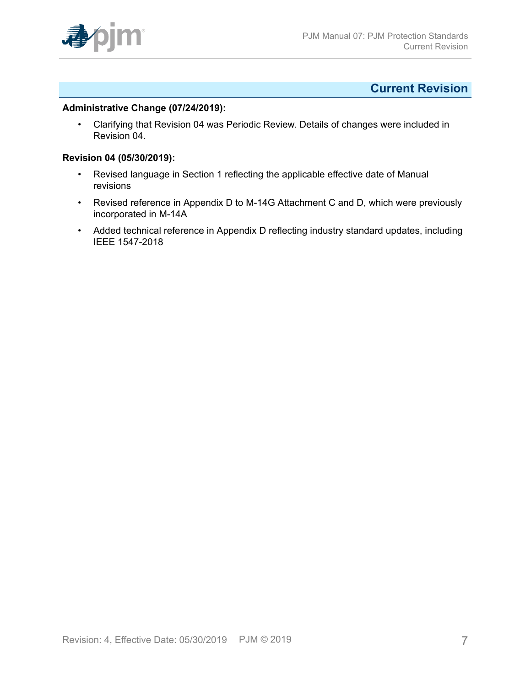

### <span id="page-6-0"></span>**Current Revision**

#### **Administrative Change (07/24/2019):**

• Clarifying that Revision 04 was Periodic Review. Details of changes were included in Revision 04.

#### **Revision 04 (05/30/2019):**

- Revised language in Section 1 reflecting the applicable effective date of Manual revisions
- Revised reference in Appendix D to M-14G Attachment C and D, which were previously incorporated in M-14A
- Added technical reference in Appendix D reflecting industry standard updates, including IEEE 1547-2018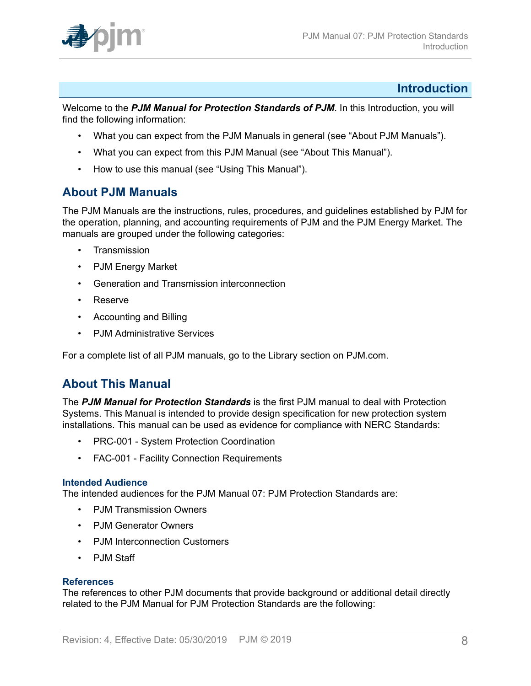

### <span id="page-7-0"></span>**Introduction**

Welcome to the *PJM Manual for Protection Standards of PJM*. In this Introduction, you will find the following information:

- What you can expect from the PJM Manuals in general (see "About PJM Manuals").
- What you can expect from this PJM Manual (see "About This Manual").
- How to use this manual (see "Using This Manual").

### <span id="page-7-1"></span>**About PJM Manuals**

The PJM Manuals are the instructions, rules, procedures, and guidelines established by PJM for the operation, planning, and accounting requirements of PJM and the PJM Energy Market. The manuals are grouped under the following categories:

- **Transmission**
- PJM Energy Market
- Generation and Transmission interconnection
- Reserve
- Accounting and Billing
- PJM Administrative Services

For a complete list of all PJM manuals, go to the Library section on PJM.com.

### <span id="page-7-2"></span>**About This Manual**

The *PJM Manual for Protection Standards* is the first PJM manual to deal with Protection Systems. This Manual is intended to provide design specification for new protection system installations. This manual can be used as evidence for compliance with NERC Standards:

- PRC-001 System Protection Coordination
- FAC-001 Facility Connection Requirements

### **Intended Audience**

The intended audiences for the PJM Manual 07: PJM Protection Standards are:

- PJM Transmission Owners
- PJM Generator Owners
- PJM Interconnection Customers
- PJM Staff

### **References**

The references to other PJM documents that provide background or additional detail directly related to the PJM Manual for PJM Protection Standards are the following: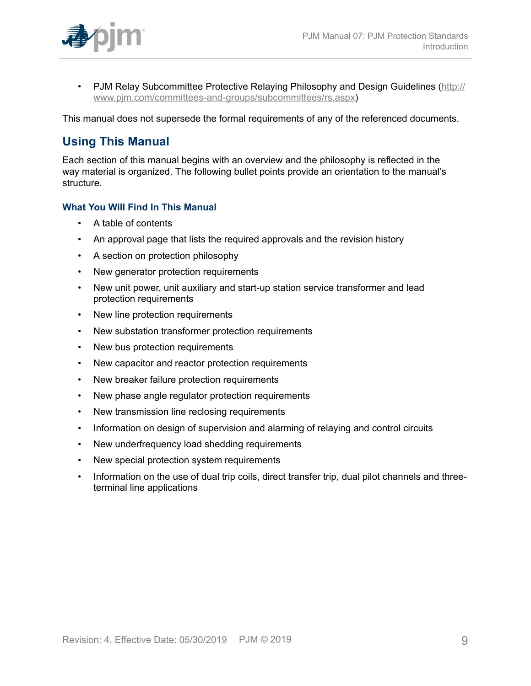• PJM Relay Subcommittee Protective Relaying Philosophy and Design Guidelines [\(http://](http://www.pjm.com/committees-and-groups/subcommittees/rs.aspx) [www.pjm.com/committees-and-groups/subcommittees/rs.aspx\)](http://www.pjm.com/committees-and-groups/subcommittees/rs.aspx)

This manual does not supersede the formal requirements of any of the referenced documents.

## <span id="page-8-0"></span>**Using This Manual**

Each section of this manual begins with an overview and the philosophy is reflected in the way material is organized. The following bullet points provide an orientation to the manual's structure.

### **What You Will Find In This Manual**

- A table of contents
- An approval page that lists the required approvals and the revision history
- A section on protection philosophy
- New generator protection requirements
- New unit power, unit auxiliary and start-up station service transformer and lead protection requirements
- New line protection requirements
- New substation transformer protection requirements
- New bus protection requirements
- New capacitor and reactor protection requirements
- New breaker failure protection requirements
- New phase angle regulator protection requirements
- New transmission line reclosing requirements
- Information on design of supervision and alarming of relaying and control circuits
- New underfrequency load shedding requirements
- New special protection system requirements
- Information on the use of dual trip coils, direct transfer trip, dual pilot channels and threeterminal line applications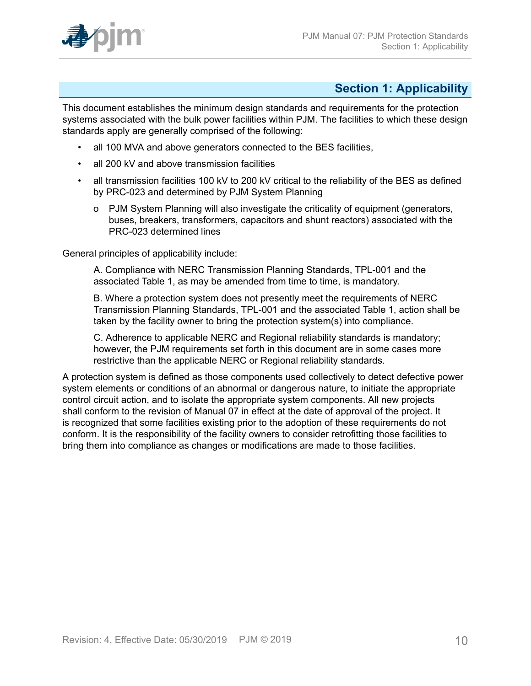

## <span id="page-9-0"></span>**Section 1: Applicability**

This document establishes the minimum design standards and requirements for the protection systems associated with the bulk power facilities within PJM. The facilities to which these design standards apply are generally comprised of the following:

- all 100 MVA and above generators connected to the BES facilities,
- all 200 kV and above transmission facilities
- all transmission facilities 100 kV to 200 kV critical to the reliability of the BES as defined by PRC-023 and determined by PJM System Planning
	- o PJM System Planning will also investigate the criticality of equipment (generators, buses, breakers, transformers, capacitors and shunt reactors) associated with the PRC-023 determined lines

General principles of applicability include:

A. Compliance with NERC Transmission Planning Standards, TPL-001 and the associated Table 1, as may be amended from time to time, is mandatory.

B. Where a protection system does not presently meet the requirements of NERC Transmission Planning Standards, TPL-001 and the associated Table 1, action shall be taken by the facility owner to bring the protection system(s) into compliance.

C. Adherence to applicable NERC and Regional reliability standards is mandatory; however, the PJM requirements set forth in this document are in some cases more restrictive than the applicable NERC or Regional reliability standards.

A protection system is defined as those components used collectively to detect defective power system elements or conditions of an abnormal or dangerous nature, to initiate the appropriate control circuit action, and to isolate the appropriate system components. All new projects shall conform to the revision of Manual 07 in effect at the date of approval of the project. It is recognized that some facilities existing prior to the adoption of these requirements do not conform. It is the responsibility of the facility owners to consider retrofitting those facilities to bring them into compliance as changes or modifications are made to those facilities.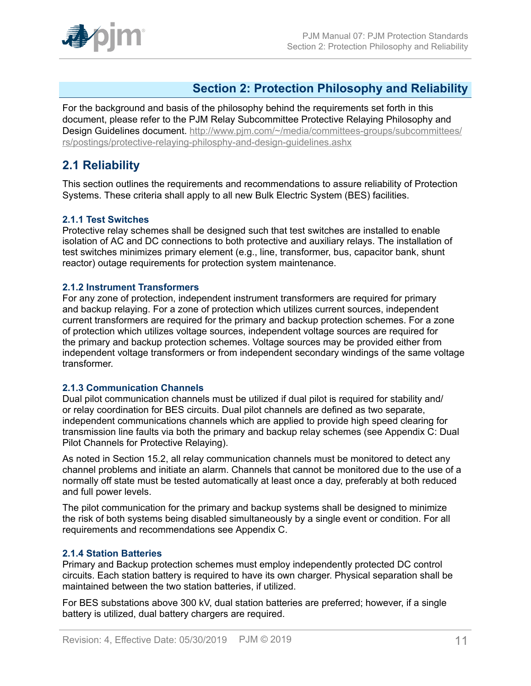

### <span id="page-10-0"></span>**Section 2: Protection Philosophy and Reliability**

For the background and basis of the philosophy behind the requirements set forth in this document, please refer to the PJM Relay Subcommittee Protective Relaying Philosophy and Design Guidelines document. [http://www.pjm.com/~/media/committees-groups/subcommittees/](http://www.pjm.com/~/media/committees-groups/subcommittees/rs/postings/protective-relaying-philosphy-and-design-guidelines.ashx) [rs/postings/protective-relaying-philosphy-and-design-guidelines.ashx](http://www.pjm.com/~/media/committees-groups/subcommittees/rs/postings/protective-relaying-philosphy-and-design-guidelines.ashx)

### <span id="page-10-1"></span>**2.1 Reliability**

This section outlines the requirements and recommendations to assure reliability of Protection Systems. These criteria shall apply to all new Bulk Electric System (BES) facilities.

### <span id="page-10-2"></span>**2.1.1 Test Switches**

Protective relay schemes shall be designed such that test switches are installed to enable isolation of AC and DC connections to both protective and auxiliary relays. The installation of test switches minimizes primary element (e.g., line, transformer, bus, capacitor bank, shunt reactor) outage requirements for protection system maintenance.

### <span id="page-10-3"></span>**2.1.2 Instrument Transformers**

For any zone of protection, independent instrument transformers are required for primary and backup relaying. For a zone of protection which utilizes current sources, independent current transformers are required for the primary and backup protection schemes. For a zone of protection which utilizes voltage sources, independent voltage sources are required for the primary and backup protection schemes. Voltage sources may be provided either from independent voltage transformers or from independent secondary windings of the same voltage transformer.

### <span id="page-10-4"></span>**2.1.3 Communication Channels**

Dual pilot communication channels must be utilized if dual pilot is required for stability and/ or relay coordination for BES circuits. Dual pilot channels are defined as two separate, independent communications channels which are applied to provide high speed clearing for transmission line faults via both the primary and backup relay schemes (see Appendix C: Dual Pilot Channels for Protective Relaying).

As noted in Section 15.2, all relay communication channels must be monitored to detect any channel problems and initiate an alarm. Channels that cannot be monitored due to the use of a normally off state must be tested automatically at least once a day, preferably at both reduced and full power levels.

The pilot communication for the primary and backup systems shall be designed to minimize the risk of both systems being disabled simultaneously by a single event or condition. For all requirements and recommendations see Appendix C.

### <span id="page-10-5"></span>**2.1.4 Station Batteries**

Primary and Backup protection schemes must employ independently protected DC control circuits. Each station battery is required to have its own charger. Physical separation shall be maintained between the two station batteries, if utilized.

For BES substations above 300 kV, dual station batteries are preferred; however, if a single battery is utilized, dual battery chargers are required.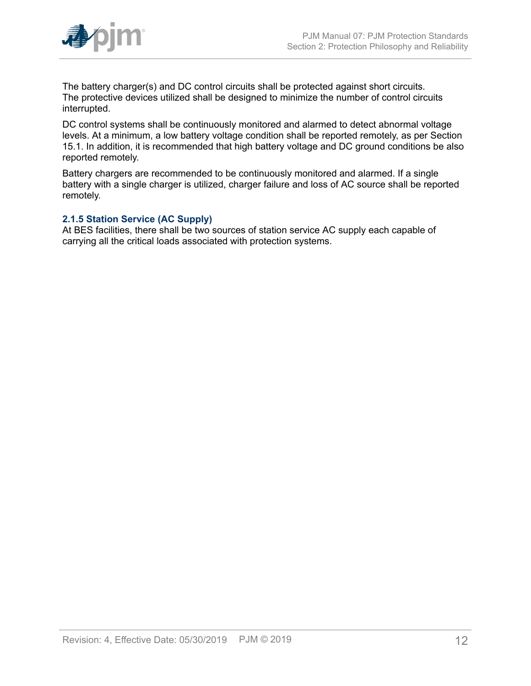

The battery charger(s) and DC control circuits shall be protected against short circuits. The protective devices utilized shall be designed to minimize the number of control circuits interrupted.

DC control systems shall be continuously monitored and alarmed to detect abnormal voltage levels. At a minimum, a low battery voltage condition shall be reported remotely, as per Section 15.1. In addition, it is recommended that high battery voltage and DC ground conditions be also reported remotely.

Battery chargers are recommended to be continuously monitored and alarmed. If a single battery with a single charger is utilized, charger failure and loss of AC source shall be reported remotely.

### <span id="page-11-0"></span>**2.1.5 Station Service (AC Supply)**

At BES facilities, there shall be two sources of station service AC supply each capable of carrying all the critical loads associated with protection systems.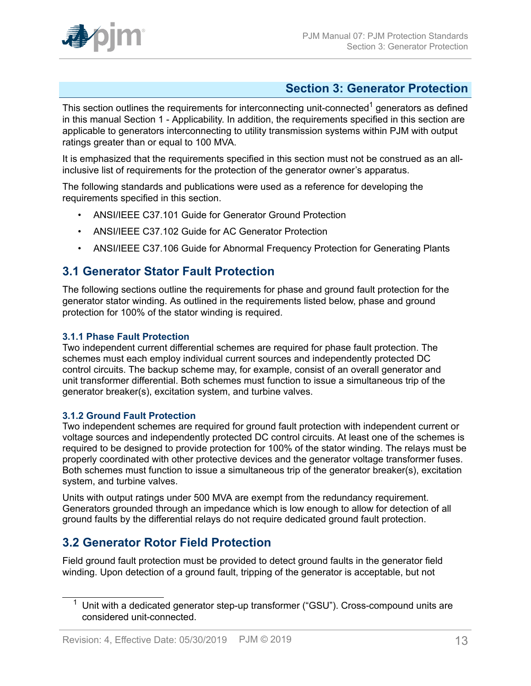

## <span id="page-12-0"></span>**Section 3: Generator Protection**

This section outlines the requirements for interconnecting unit-connected<sup>1</sup> generators as defined in this manual Section 1 - Applicability. In addition, the requirements specified in this section are applicable to generators interconnecting to utility transmission systems within PJM with output ratings greater than or equal to 100 MVA.

It is emphasized that the requirements specified in this section must not be construed as an allinclusive list of requirements for the protection of the generator owner's apparatus.

The following standards and publications were used as a reference for developing the requirements specified in this section.

- ANSI/IEEE C37.101 Guide for Generator Ground Protection
- ANSI/IEEE C37.102 Guide for AC Generator Protection
- ANSI/IEEE C37.106 Guide for Abnormal Frequency Protection for Generating Plants

### <span id="page-12-1"></span>**3.1 Generator Stator Fault Protection**

The following sections outline the requirements for phase and ground fault protection for the generator stator winding. As outlined in the requirements listed below, phase and ground protection for 100% of the stator winding is required.

### <span id="page-12-2"></span>**3.1.1 Phase Fault Protection**

Two independent current differential schemes are required for phase fault protection. The schemes must each employ individual current sources and independently protected DC control circuits. The backup scheme may, for example, consist of an overall generator and unit transformer differential. Both schemes must function to issue a simultaneous trip of the generator breaker(s), excitation system, and turbine valves.

### <span id="page-12-3"></span>**3.1.2 Ground Fault Protection**

Two independent schemes are required for ground fault protection with independent current or voltage sources and independently protected DC control circuits. At least one of the schemes is required to be designed to provide protection for 100% of the stator winding. The relays must be properly coordinated with other protective devices and the generator voltage transformer fuses. Both schemes must function to issue a simultaneous trip of the generator breaker(s), excitation system, and turbine valves.

Units with output ratings under 500 MVA are exempt from the redundancy requirement. Generators grounded through an impedance which is low enough to allow for detection of all ground faults by the differential relays do not require dedicated ground fault protection.

### <span id="page-12-4"></span>**3.2 Generator Rotor Field Protection**

Field ground fault protection must be provided to detect ground faults in the generator field winding. Upon detection of a ground fault, tripping of the generator is acceptable, but not

Unit with a dedicated generator step-up transformer ("GSU"). Cross-compound units are considered unit-connected.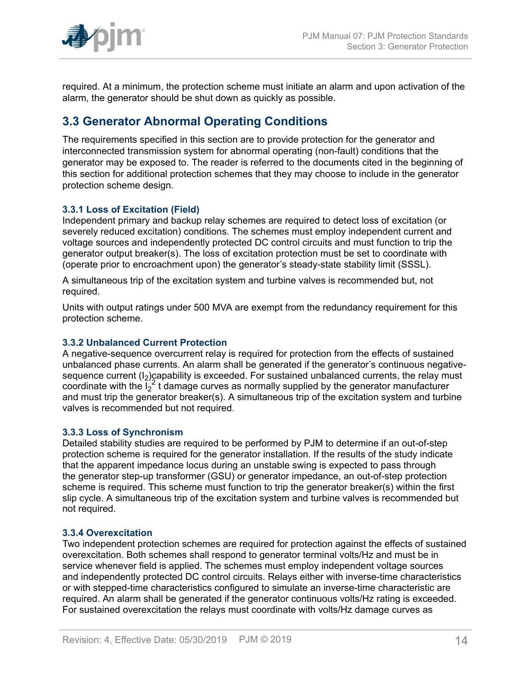

required. At a minimum, the protection scheme must initiate an alarm and upon activation of the alarm, the generator should be shut down as quickly as possible.

## <span id="page-13-0"></span>**3.3 Generator Abnormal Operating Conditions**

The requirements specified in this section are to provide protection for the generator and interconnected transmission system for abnormal operating (non-fault) conditions that the generator may be exposed to. The reader is referred to the documents cited in the beginning of this section for additional protection schemes that they may choose to include in the generator protection scheme design.

### <span id="page-13-1"></span>**3.3.1 Loss of Excitation (Field)**

Independent primary and backup relay schemes are required to detect loss of excitation (or severely reduced excitation) conditions. The schemes must employ independent current and voltage sources and independently protected DC control circuits and must function to trip the generator output breaker(s). The loss of excitation protection must be set to coordinate with (operate prior to encroachment upon) the generator's steady-state stability limit (SSSL).

A simultaneous trip of the excitation system and turbine valves is recommended but, not required.

Units with output ratings under 500 MVA are exempt from the redundancy requirement for this protection scheme.

### <span id="page-13-2"></span>**3.3.2 Unbalanced Current Protection**

A negative-sequence overcurrent relay is required for protection from the effects of sustained unbalanced phase currents. An alarm shall be generated if the generator's continuous negativesequence current  $(I_2)$  capability is exceeded. For sustained unbalanced currents, the relay must coordinate with the  $I_2^2$  t damage curves as normally supplied by the generator manufacturer and must trip the generator breaker(s). A simultaneous trip of the excitation system and turbine valves is recommended but not required.

### <span id="page-13-3"></span>**3.3.3 Loss of Synchronism**

Detailed stability studies are required to be performed by PJM to determine if an out-of-step protection scheme is required for the generator installation. If the results of the study indicate that the apparent impedance locus during an unstable swing is expected to pass through the generator step-up transformer (GSU) or generator impedance, an out-of-step protection scheme is required. This scheme must function to trip the generator breaker(s) within the first slip cycle. A simultaneous trip of the excitation system and turbine valves is recommended but not required.

### <span id="page-13-4"></span>**3.3.4 Overexcitation**

Two independent protection schemes are required for protection against the effects of sustained overexcitation. Both schemes shall respond to generator terminal volts/Hz and must be in service whenever field is applied. The schemes must employ independent voltage sources and independently protected DC control circuits. Relays either with inverse-time characteristics or with stepped-time characteristics configured to simulate an inverse-time characteristic are required. An alarm shall be generated if the generator continuous volts/Hz rating is exceeded. For sustained overexcitation the relays must coordinate with volts/Hz damage curves as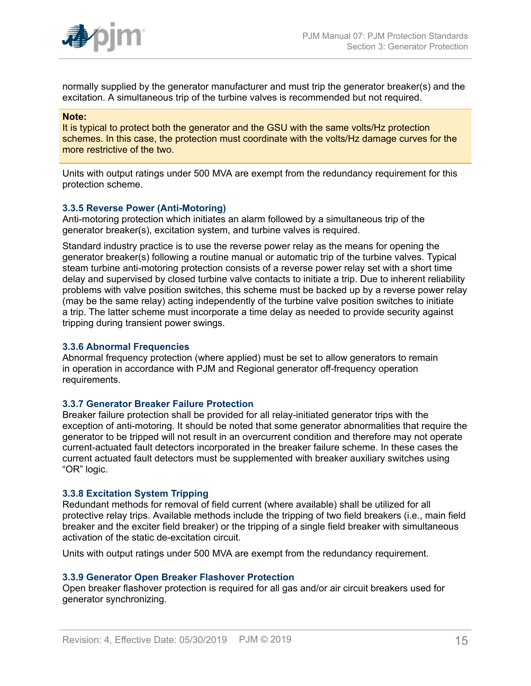

normally supplied by the generator manufacturer and must trip the generator breaker(s) and the excitation. A simultaneous trip of the turbine valves is recommended but not required.

#### **Note:**

It is typical to protect both the generator and the GSU with the same volts/Hz protection schemes. In this case, the protection must coordinate with the volts/Hz damage curves for the more restrictive of the two.

Units with output ratings under 500 MVA are exempt from the redundancy requirement for this protection scheme.

#### <span id="page-14-0"></span>**3.3.5 Reverse Power (Anti-Motoring)**

Anti-motoring protection which initiates an alarm followed by a simultaneous trip of the generator breaker(s), excitation system, and turbine valves is required.

Standard industry practice is to use the reverse power relay as the means for opening the generator breaker(s) following a routine manual or automatic trip of the turbine valves. Typical steam turbine anti-motoring protection consists of a reverse power relay set with a short time delay and supervised by closed turbine valve contacts to initiate a trip. Due to inherent reliability problems with valve position switches, this scheme must be backed up by a reverse power relay (may be the same relay) acting independently of the turbine valve position switches to initiate a trip. The latter scheme must incorporate a time delay as needed to provide security against tripping during transient power swings.

#### <span id="page-14-1"></span>**3.3.6 Abnormal Frequencies**

Abnormal frequency protection (where applied) must be set to allow generators to remain in operation in accordance with PJM and Regional generator off-frequency operation requirements.

#### <span id="page-14-2"></span>**3.3.7 Generator Breaker Failure Protection**

Breaker failure protection shall be provided for all relay-initiated generator trips with the exception of anti-motoring. It should be noted that some generator abnormalities that require the generator to be tripped will not result in an overcurrent condition and therefore may not operate current-actuated fault detectors incorporated in the breaker failure scheme. In these cases the current actuated fault detectors must be supplemented with breaker auxiliary switches using "OR" logic.

#### <span id="page-14-3"></span>**3.3.8 Excitation System Tripping**

Redundant methods for removal of field current (where available) shall be utilized for all protective relay trips. Available methods include the tripping of two field breakers (i.e., main field breaker and the exciter field breaker) or the tripping of a single field breaker with simultaneous activation of the static de-excitation circuit.

Units with output ratings under 500 MVA are exempt from the redundancy requirement.

#### <span id="page-14-4"></span>**3.3.9 Generator Open Breaker Flashover Protection**

Open breaker flashover protection is required for all gas and/or air circuit breakers used for generator synchronizing.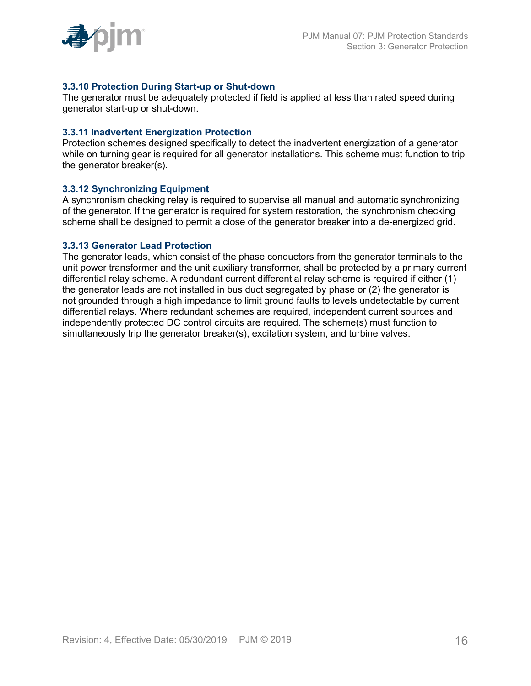

### <span id="page-15-0"></span>**3.3.10 Protection During Start-up or Shut-down**

The generator must be adequately protected if field is applied at less than rated speed during generator start-up or shut-down.

#### <span id="page-15-1"></span>**3.3.11 Inadvertent Energization Protection**

Protection schemes designed specifically to detect the inadvertent energization of a generator while on turning gear is required for all generator installations. This scheme must function to trip the generator breaker(s).

#### <span id="page-15-2"></span>**3.3.12 Synchronizing Equipment**

A synchronism checking relay is required to supervise all manual and automatic synchronizing of the generator. If the generator is required for system restoration, the synchronism checking scheme shall be designed to permit a close of the generator breaker into a de-energized grid.

#### <span id="page-15-3"></span>**3.3.13 Generator Lead Protection**

The generator leads, which consist of the phase conductors from the generator terminals to the unit power transformer and the unit auxiliary transformer, shall be protected by a primary current differential relay scheme. A redundant current differential relay scheme is required if either (1) the generator leads are not installed in bus duct segregated by phase or (2) the generator is not grounded through a high impedance to limit ground faults to levels undetectable by current differential relays. Where redundant schemes are required, independent current sources and independently protected DC control circuits are required. The scheme(s) must function to simultaneously trip the generator breaker(s), excitation system, and turbine valves.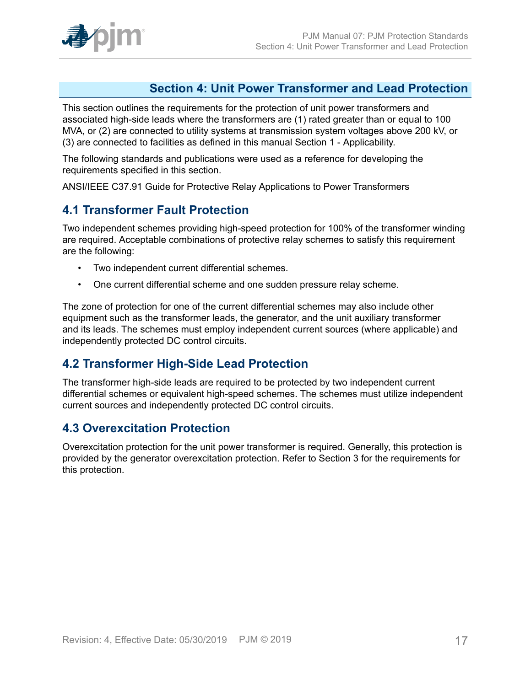### <span id="page-16-0"></span>**Section 4: Unit Power Transformer and Lead Protection**

This section outlines the requirements for the protection of unit power transformers and associated high-side leads where the transformers are (1) rated greater than or equal to 100 MVA, or (2) are connected to utility systems at transmission system voltages above 200 kV, or (3) are connected to facilities as defined in this manual Section 1 - Applicability.

The following standards and publications were used as a reference for developing the requirements specified in this section.

ANSI/IEEE C37.91 Guide for Protective Relay Applications to Power Transformers

### <span id="page-16-1"></span>**4.1 Transformer Fault Protection**

Two independent schemes providing high-speed protection for 100% of the transformer winding are required. Acceptable combinations of protective relay schemes to satisfy this requirement are the following:

- Two independent current differential schemes.
- One current differential scheme and one sudden pressure relay scheme.

The zone of protection for one of the current differential schemes may also include other equipment such as the transformer leads, the generator, and the unit auxiliary transformer and its leads. The schemes must employ independent current sources (where applicable) and independently protected DC control circuits.

### <span id="page-16-2"></span>**4.2 Transformer High-Side Lead Protection**

The transformer high-side leads are required to be protected by two independent current differential schemes or equivalent high-speed schemes. The schemes must utilize independent current sources and independently protected DC control circuits.

### <span id="page-16-3"></span>**4.3 Overexcitation Protection**

Overexcitation protection for the unit power transformer is required. Generally, this protection is provided by the generator overexcitation protection. Refer to Section 3 for the requirements for this protection.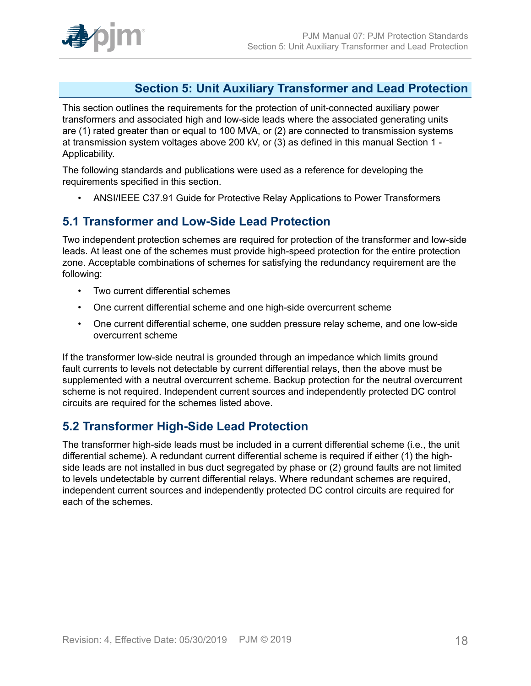

### <span id="page-17-0"></span>**Section 5: Unit Auxiliary Transformer and Lead Protection**

This section outlines the requirements for the protection of unit-connected auxiliary power transformers and associated high and low-side leads where the associated generating units are (1) rated greater than or equal to 100 MVA, or (2) are connected to transmission systems at transmission system voltages above 200 kV, or (3) as defined in this manual Section 1 - Applicability.

The following standards and publications were used as a reference for developing the requirements specified in this section.

• ANSI/IEEE C37.91 Guide for Protective Relay Applications to Power Transformers

## <span id="page-17-1"></span>**5.1 Transformer and Low-Side Lead Protection**

Two independent protection schemes are required for protection of the transformer and low-side leads. At least one of the schemes must provide high-speed protection for the entire protection zone. Acceptable combinations of schemes for satisfying the redundancy requirement are the following:

- Two current differential schemes
- One current differential scheme and one high-side overcurrent scheme
- One current differential scheme, one sudden pressure relay scheme, and one low-side overcurrent scheme

If the transformer low-side neutral is grounded through an impedance which limits ground fault currents to levels not detectable by current differential relays, then the above must be supplemented with a neutral overcurrent scheme. Backup protection for the neutral overcurrent scheme is not required. Independent current sources and independently protected DC control circuits are required for the schemes listed above.

### <span id="page-17-2"></span>**5.2 Transformer High-Side Lead Protection**

The transformer high-side leads must be included in a current differential scheme (i.e., the unit differential scheme). A redundant current differential scheme is required if either (1) the highside leads are not installed in bus duct segregated by phase or (2) ground faults are not limited to levels undetectable by current differential relays. Where redundant schemes are required, independent current sources and independently protected DC control circuits are required for each of the schemes.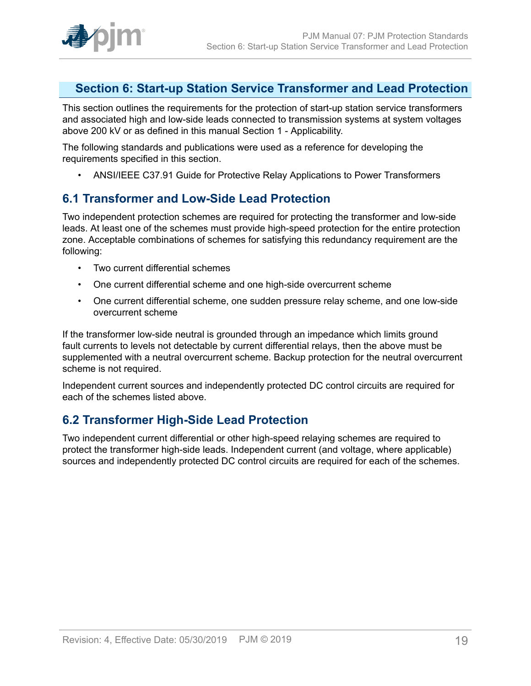

### <span id="page-18-0"></span>**Section 6: Start-up Station Service Transformer and Lead Protection**

This section outlines the requirements for the protection of start-up station service transformers and associated high and low-side leads connected to transmission systems at system voltages above 200 kV or as defined in this manual Section 1 - Applicability.

The following standards and publications were used as a reference for developing the requirements specified in this section.

• ANSI/IEEE C37.91 Guide for Protective Relay Applications to Power Transformers

### <span id="page-18-1"></span>**6.1 Transformer and Low-Side Lead Protection**

Two independent protection schemes are required for protecting the transformer and low-side leads. At least one of the schemes must provide high-speed protection for the entire protection zone. Acceptable combinations of schemes for satisfying this redundancy requirement are the following:

- Two current differential schemes
- One current differential scheme and one high-side overcurrent scheme
- One current differential scheme, one sudden pressure relay scheme, and one low-side overcurrent scheme

If the transformer low-side neutral is grounded through an impedance which limits ground fault currents to levels not detectable by current differential relays, then the above must be supplemented with a neutral overcurrent scheme. Backup protection for the neutral overcurrent scheme is not required.

Independent current sources and independently protected DC control circuits are required for each of the schemes listed above.

### <span id="page-18-2"></span>**6.2 Transformer High-Side Lead Protection**

Two independent current differential or other high-speed relaying schemes are required to protect the transformer high-side leads. Independent current (and voltage, where applicable) sources and independently protected DC control circuits are required for each of the schemes.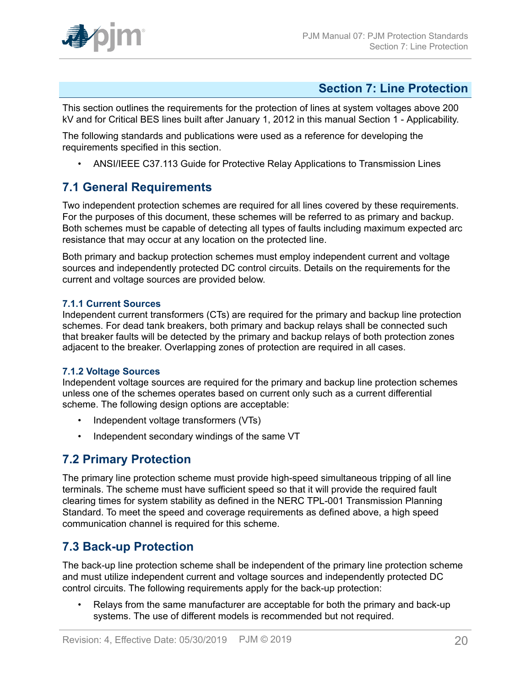

### <span id="page-19-0"></span>**Section 7: Line Protection**

This section outlines the requirements for the protection of lines at system voltages above 200 kV and for Critical BES lines built after January 1, 2012 in this manual Section 1 - Applicability.

The following standards and publications were used as a reference for developing the requirements specified in this section.

• ANSI/IEEE C37.113 Guide for Protective Relay Applications to Transmission Lines

### <span id="page-19-1"></span>**7.1 General Requirements**

Two independent protection schemes are required for all lines covered by these requirements. For the purposes of this document, these schemes will be referred to as primary and backup. Both schemes must be capable of detecting all types of faults including maximum expected arc resistance that may occur at any location on the protected line.

Both primary and backup protection schemes must employ independent current and voltage sources and independently protected DC control circuits. Details on the requirements for the current and voltage sources are provided below.

### <span id="page-19-2"></span>**7.1.1 Current Sources**

Independent current transformers (CTs) are required for the primary and backup line protection schemes. For dead tank breakers, both primary and backup relays shall be connected such that breaker faults will be detected by the primary and backup relays of both protection zones adjacent to the breaker. Overlapping zones of protection are required in all cases.

### <span id="page-19-3"></span>**7.1.2 Voltage Sources**

Independent voltage sources are required for the primary and backup line protection schemes unless one of the schemes operates based on current only such as a current differential scheme. The following design options are acceptable:

- Independent voltage transformers (VTs)
- Independent secondary windings of the same VT

### <span id="page-19-4"></span>**7.2 Primary Protection**

The primary line protection scheme must provide high-speed simultaneous tripping of all line terminals. The scheme must have sufficient speed so that it will provide the required fault clearing times for system stability as defined in the NERC TPL-001 Transmission Planning Standard. To meet the speed and coverage requirements as defined above, a high speed communication channel is required for this scheme.

## <span id="page-19-5"></span>**7.3 Back-up Protection**

The back-up line protection scheme shall be independent of the primary line protection scheme and must utilize independent current and voltage sources and independently protected DC control circuits. The following requirements apply for the back-up protection:

• Relays from the same manufacturer are acceptable for both the primary and back-up systems. The use of different models is recommended but not required.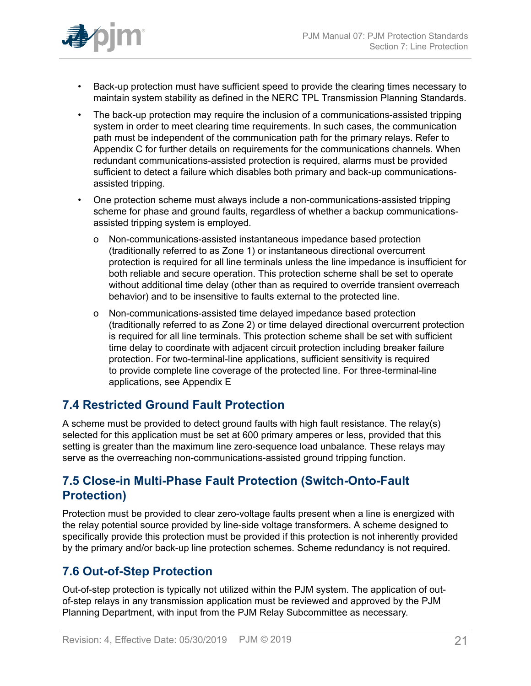

- Back-up protection must have sufficient speed to provide the clearing times necessary to maintain system stability as defined in the NERC TPL Transmission Planning Standards.
- The back-up protection may require the inclusion of a communications-assisted tripping system in order to meet clearing time requirements. In such cases, the communication path must be independent of the communication path for the primary relays. Refer to Appendix C for further details on requirements for the communications channels. When redundant communications-assisted protection is required, alarms must be provided sufficient to detect a failure which disables both primary and back-up communicationsassisted tripping.
- One protection scheme must always include a non-communications-assisted tripping scheme for phase and ground faults, regardless of whether a backup communicationsassisted tripping system is employed.
	- o Non-communications-assisted instantaneous impedance based protection (traditionally referred to as Zone 1) or instantaneous directional overcurrent protection is required for all line terminals unless the line impedance is insufficient for both reliable and secure operation. This protection scheme shall be set to operate without additional time delay (other than as required to override transient overreach behavior) and to be insensitive to faults external to the protected line.
	- o Non-communications-assisted time delayed impedance based protection (traditionally referred to as Zone 2) or time delayed directional overcurrent protection is required for all line terminals. This protection scheme shall be set with sufficient time delay to coordinate with adjacent circuit protection including breaker failure protection. For two-terminal-line applications, sufficient sensitivity is required to provide complete line coverage of the protected line. For three-terminal-line applications, see Appendix E

## <span id="page-20-0"></span>**7.4 Restricted Ground Fault Protection**

A scheme must be provided to detect ground faults with high fault resistance. The relay(s) selected for this application must be set at 600 primary amperes or less, provided that this setting is greater than the maximum line zero-sequence load unbalance. These relays may serve as the overreaching non-communications-assisted ground tripping function.

### <span id="page-20-1"></span>**7.5 Close-in Multi-Phase Fault Protection (Switch-Onto-Fault Protection)**

Protection must be provided to clear zero-voltage faults present when a line is energized with the relay potential source provided by line-side voltage transformers. A scheme designed to specifically provide this protection must be provided if this protection is not inherently provided by the primary and/or back-up line protection schemes. Scheme redundancy is not required.

## <span id="page-20-2"></span>**7.6 Out-of-Step Protection**

Out-of-step protection is typically not utilized within the PJM system. The application of outof-step relays in any transmission application must be reviewed and approved by the PJM Planning Department, with input from the PJM Relay Subcommittee as necessary.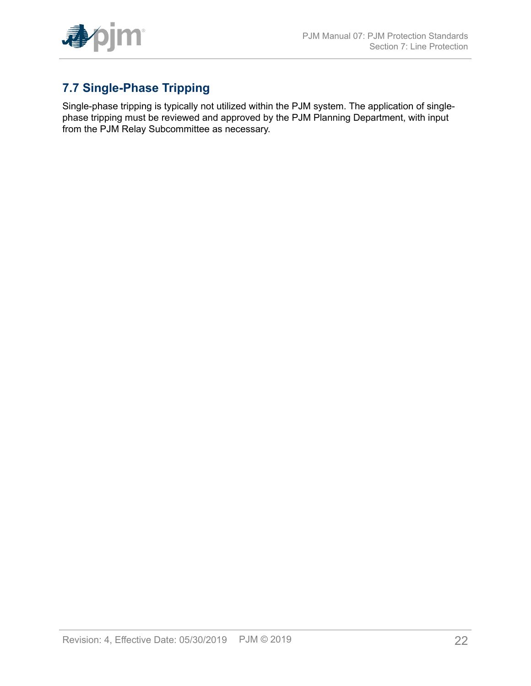

# <span id="page-21-0"></span>**7.7 Single-Phase Tripping**

Single-phase tripping is typically not utilized within the PJM system. The application of singlephase tripping must be reviewed and approved by the PJM Planning Department, with input from the PJM Relay Subcommittee as necessary.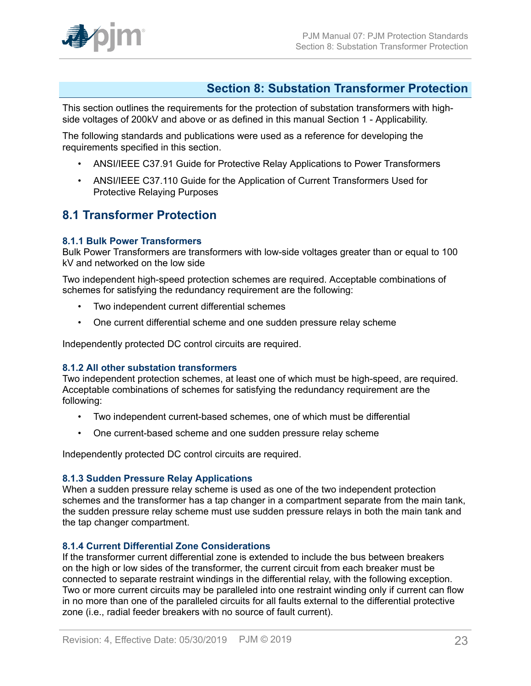

### <span id="page-22-0"></span>**Section 8: Substation Transformer Protection**

This section outlines the requirements for the protection of substation transformers with highside voltages of 200kV and above or as defined in this manual Section 1 - Applicability.

The following standards and publications were used as a reference for developing the requirements specified in this section.

- ANSI/IEEE C37.91 Guide for Protective Relay Applications to Power Transformers
- ANSI/IEEE C37.110 Guide for the Application of Current Transformers Used for Protective Relaying Purposes

### <span id="page-22-1"></span>**8.1 Transformer Protection**

#### <span id="page-22-2"></span>**8.1.1 Bulk Power Transformers**

Bulk Power Transformers are transformers with low-side voltages greater than or equal to 100 kV and networked on the low side

Two independent high-speed protection schemes are required. Acceptable combinations of schemes for satisfying the redundancy requirement are the following:

- Two independent current differential schemes
- One current differential scheme and one sudden pressure relay scheme

Independently protected DC control circuits are required.

#### <span id="page-22-3"></span>**8.1.2 All other substation transformers**

Two independent protection schemes, at least one of which must be high-speed, are required. Acceptable combinations of schemes for satisfying the redundancy requirement are the following:

- Two independent current-based schemes, one of which must be differential
- One current-based scheme and one sudden pressure relay scheme

Independently protected DC control circuits are required.

#### <span id="page-22-4"></span>**8.1.3 Sudden Pressure Relay Applications**

When a sudden pressure relay scheme is used as one of the two independent protection schemes and the transformer has a tap changer in a compartment separate from the main tank, the sudden pressure relay scheme must use sudden pressure relays in both the main tank and the tap changer compartment.

#### <span id="page-22-5"></span>**8.1.4 Current Differential Zone Considerations**

If the transformer current differential zone is extended to include the bus between breakers on the high or low sides of the transformer, the current circuit from each breaker must be connected to separate restraint windings in the differential relay, with the following exception. Two or more current circuits may be paralleled into one restraint winding only if current can flow in no more than one of the paralleled circuits for all faults external to the differential protective zone (i.e., radial feeder breakers with no source of fault current).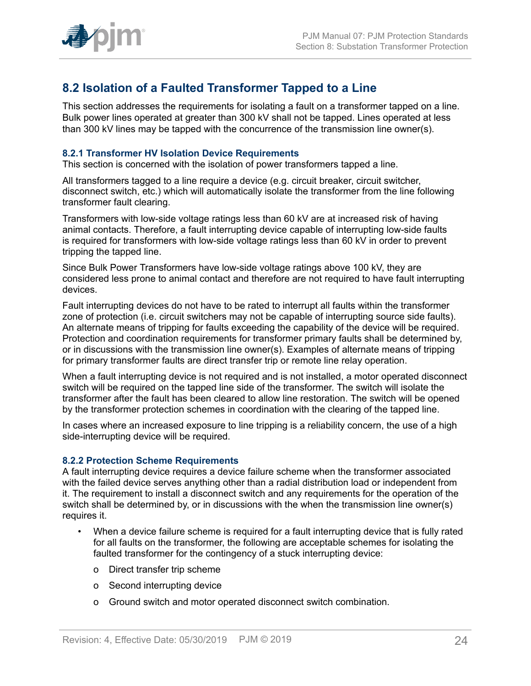

## <span id="page-23-0"></span>**8.2 Isolation of a Faulted Transformer Tapped to a Line**

This section addresses the requirements for isolating a fault on a transformer tapped on a line. Bulk power lines operated at greater than 300 kV shall not be tapped. Lines operated at less than 300 kV lines may be tapped with the concurrence of the transmission line owner(s).

#### <span id="page-23-1"></span>**8.2.1 Transformer HV Isolation Device Requirements**

This section is concerned with the isolation of power transformers tapped a line.

All transformers tagged to a line require a device (e.g. circuit breaker, circuit switcher, disconnect switch, etc.) which will automatically isolate the transformer from the line following transformer fault clearing.

Transformers with low-side voltage ratings less than 60 kV are at increased risk of having animal contacts. Therefore, a fault interrupting device capable of interrupting low-side faults is required for transformers with low-side voltage ratings less than 60 kV in order to prevent tripping the tapped line.

Since Bulk Power Transformers have low-side voltage ratings above 100 kV, they are considered less prone to animal contact and therefore are not required to have fault interrupting devices.

Fault interrupting devices do not have to be rated to interrupt all faults within the transformer zone of protection (i.e. circuit switchers may not be capable of interrupting source side faults). An alternate means of tripping for faults exceeding the capability of the device will be required. Protection and coordination requirements for transformer primary faults shall be determined by, or in discussions with the transmission line owner(s). Examples of alternate means of tripping for primary transformer faults are direct transfer trip or remote line relay operation.

When a fault interrupting device is not required and is not installed, a motor operated disconnect switch will be required on the tapped line side of the transformer. The switch will isolate the transformer after the fault has been cleared to allow line restoration. The switch will be opened by the transformer protection schemes in coordination with the clearing of the tapped line.

In cases where an increased exposure to line tripping is a reliability concern, the use of a high side-interrupting device will be required.

#### <span id="page-23-2"></span>**8.2.2 Protection Scheme Requirements**

A fault interrupting device requires a device failure scheme when the transformer associated with the failed device serves anything other than a radial distribution load or independent from it. The requirement to install a disconnect switch and any requirements for the operation of the switch shall be determined by, or in discussions with the when the transmission line owner(s) requires it.

- When a device failure scheme is required for a fault interrupting device that is fully rated for all faults on the transformer, the following are acceptable schemes for isolating the faulted transformer for the contingency of a stuck interrupting device:
	- o Direct transfer trip scheme
	- o Second interrupting device
	- o Ground switch and motor operated disconnect switch combination.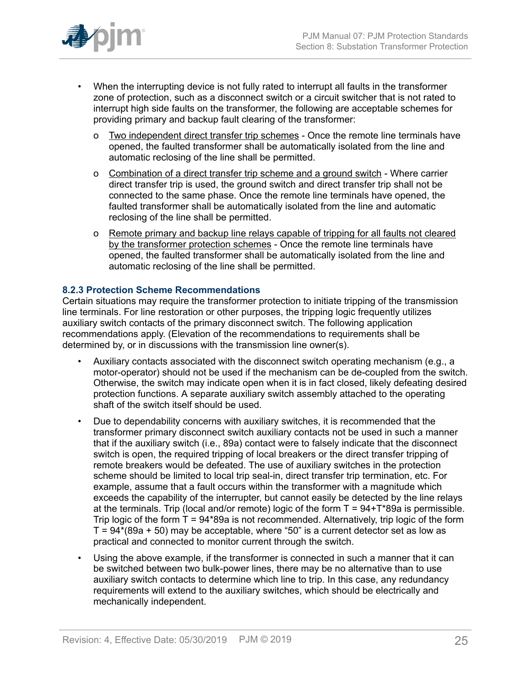

- When the interrupting device is not fully rated to interrupt all faults in the transformer zone of protection, such as a disconnect switch or a circuit switcher that is not rated to interrupt high side faults on the transformer, the following are acceptable schemes for providing primary and backup fault clearing of the transformer:
	- o Two independent direct transfer trip schemes Once the remote line terminals have opened, the faulted transformer shall be automatically isolated from the line and automatic reclosing of the line shall be permitted.
	- o Combination of a direct transfer trip scheme and a ground switch Where carrier direct transfer trip is used, the ground switch and direct transfer trip shall not be connected to the same phase. Once the remote line terminals have opened, the faulted transformer shall be automatically isolated from the line and automatic reclosing of the line shall be permitted.
	- o Remote primary and backup line relays capable of tripping for all faults not cleared by the transformer protection schemes - Once the remote line terminals have opened, the faulted transformer shall be automatically isolated from the line and automatic reclosing of the line shall be permitted.

### <span id="page-24-0"></span>**8.2.3 Protection Scheme Recommendations**

Certain situations may require the transformer protection to initiate tripping of the transmission line terminals. For line restoration or other purposes, the tripping logic frequently utilizes auxiliary switch contacts of the primary disconnect switch. The following application recommendations apply. (Elevation of the recommendations to requirements shall be determined by, or in discussions with the transmission line owner(s).

- Auxiliary contacts associated with the disconnect switch operating mechanism (e.g., a motor-operator) should not be used if the mechanism can be de-coupled from the switch. Otherwise, the switch may indicate open when it is in fact closed, likely defeating desired protection functions. A separate auxiliary switch assembly attached to the operating shaft of the switch itself should be used.
- Due to dependability concerns with auxiliary switches, it is recommended that the transformer primary disconnect switch auxiliary contacts not be used in such a manner that if the auxiliary switch (i.e., 89a) contact were to falsely indicate that the disconnect switch is open, the required tripping of local breakers or the direct transfer tripping of remote breakers would be defeated. The use of auxiliary switches in the protection scheme should be limited to local trip seal-in, direct transfer trip termination, etc. For example, assume that a fault occurs within the transformer with a magnitude which exceeds the capability of the interrupter, but cannot easily be detected by the line relays at the terminals. Trip (local and/or remote) logic of the form  $T = 94 + T*89a$  is permissible. Trip logic of the form  $T = 94*89a$  is not recommended. Alternatively, trip logic of the form  $T = 94*(89a + 50)$  may be acceptable, where "50" is a current detector set as low as practical and connected to monitor current through the switch.
- Using the above example, if the transformer is connected in such a manner that it can be switched between two bulk-power lines, there may be no alternative than to use auxiliary switch contacts to determine which line to trip. In this case, any redundancy requirements will extend to the auxiliary switches, which should be electrically and mechanically independent.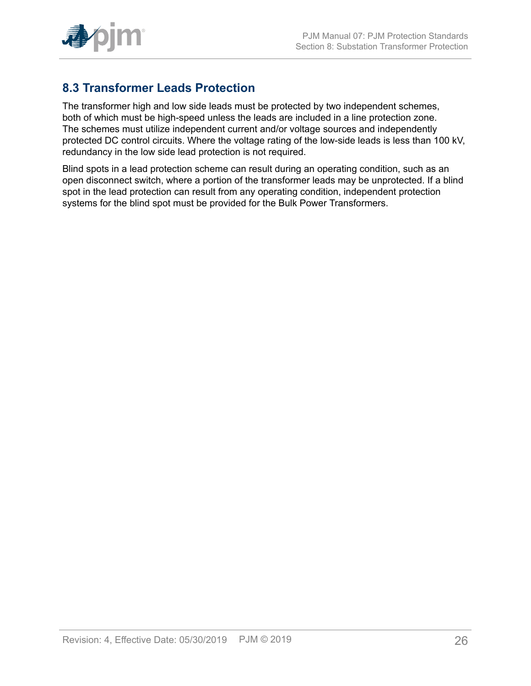

## <span id="page-25-0"></span>**8.3 Transformer Leads Protection**

The transformer high and low side leads must be protected by two independent schemes, both of which must be high-speed unless the leads are included in a line protection zone. The schemes must utilize independent current and/or voltage sources and independently protected DC control circuits. Where the voltage rating of the low-side leads is less than 100 kV, redundancy in the low side lead protection is not required.

Blind spots in a lead protection scheme can result during an operating condition, such as an open disconnect switch, where a portion of the transformer leads may be unprotected. If a blind spot in the lead protection can result from any operating condition, independent protection systems for the blind spot must be provided for the Bulk Power Transformers.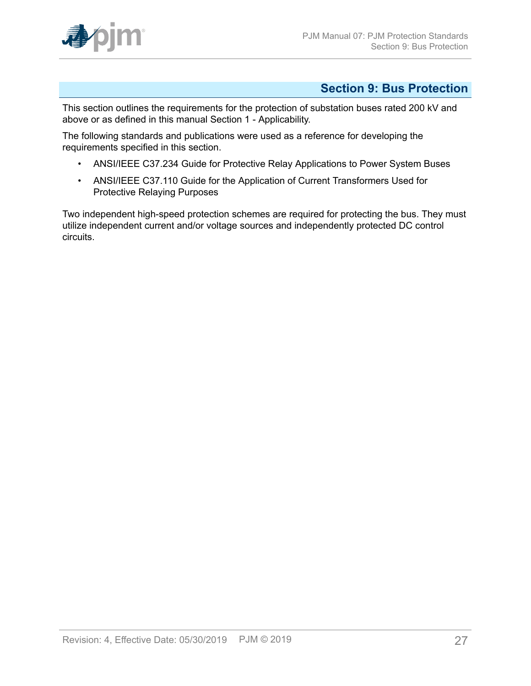

## <span id="page-26-0"></span>**Section 9: Bus Protection**

This section outlines the requirements for the protection of substation buses rated 200 kV and above or as defined in this manual Section 1 - Applicability.

The following standards and publications were used as a reference for developing the requirements specified in this section.

- ANSI/IEEE C37.234 Guide for Protective Relay Applications to Power System Buses
- ANSI/IEEE C37.110 Guide for the Application of Current Transformers Used for Protective Relaying Purposes

Two independent high-speed protection schemes are required for protecting the bus. They must utilize independent current and/or voltage sources and independently protected DC control circuits.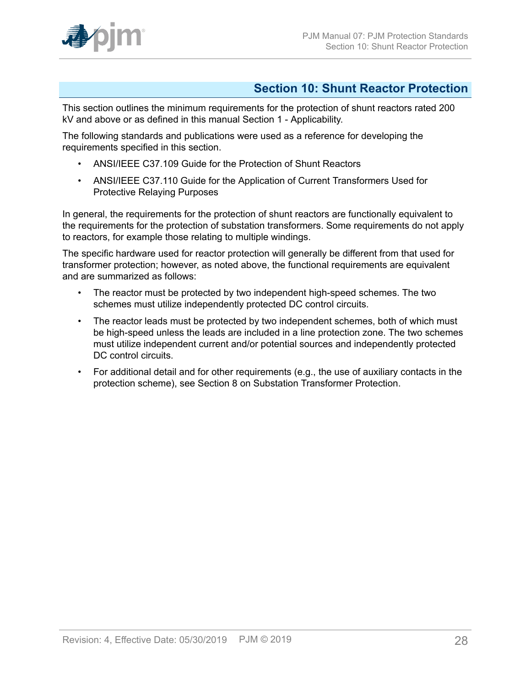

### <span id="page-27-0"></span>**Section 10: Shunt Reactor Protection**

This section outlines the minimum requirements for the protection of shunt reactors rated 200 kV and above or as defined in this manual Section 1 - Applicability.

The following standards and publications were used as a reference for developing the requirements specified in this section.

- ANSI/IEEE C37.109 Guide for the Protection of Shunt Reactors
- ANSI/IEEE C37.110 Guide for the Application of Current Transformers Used for Protective Relaying Purposes

In general, the requirements for the protection of shunt reactors are functionally equivalent to the requirements for the protection of substation transformers. Some requirements do not apply to reactors, for example those relating to multiple windings.

The specific hardware used for reactor protection will generally be different from that used for transformer protection; however, as noted above, the functional requirements are equivalent and are summarized as follows:

- The reactor must be protected by two independent high-speed schemes. The two schemes must utilize independently protected DC control circuits.
- The reactor leads must be protected by two independent schemes, both of which must be high-speed unless the leads are included in a line protection zone. The two schemes must utilize independent current and/or potential sources and independently protected DC control circuits.
- For additional detail and for other requirements (e.g., the use of auxiliary contacts in the protection scheme), see Section 8 on Substation Transformer Protection.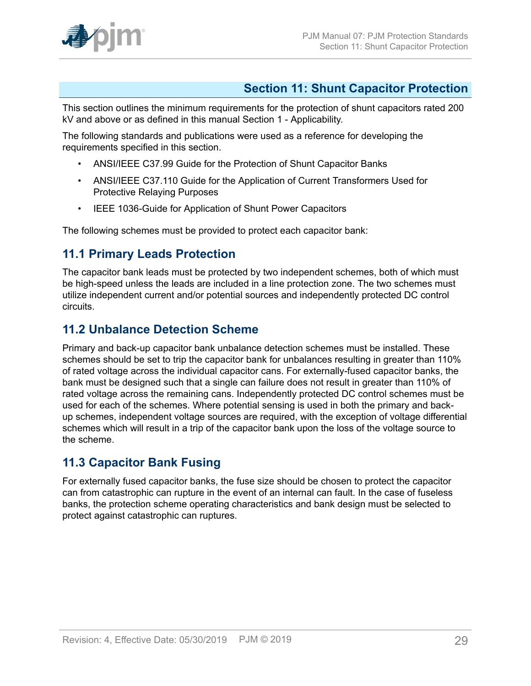

## <span id="page-28-0"></span>**Section 11: Shunt Capacitor Protection**

This section outlines the minimum requirements for the protection of shunt capacitors rated 200 kV and above or as defined in this manual Section 1 - Applicability.

The following standards and publications were used as a reference for developing the requirements specified in this section.

- ANSI/IEEE C37.99 Guide for the Protection of Shunt Capacitor Banks
- ANSI/IEEE C37.110 Guide for the Application of Current Transformers Used for Protective Relaying Purposes
- IEEE 1036-Guide for Application of Shunt Power Capacitors

The following schemes must be provided to protect each capacitor bank:

### <span id="page-28-1"></span>**11.1 Primary Leads Protection**

The capacitor bank leads must be protected by two independent schemes, both of which must be high-speed unless the leads are included in a line protection zone. The two schemes must utilize independent current and/or potential sources and independently protected DC control circuits.

### <span id="page-28-2"></span>**11.2 Unbalance Detection Scheme**

Primary and back-up capacitor bank unbalance detection schemes must be installed. These schemes should be set to trip the capacitor bank for unbalances resulting in greater than 110% of rated voltage across the individual capacitor cans. For externally-fused capacitor banks, the bank must be designed such that a single can failure does not result in greater than 110% of rated voltage across the remaining cans. Independently protected DC control schemes must be used for each of the schemes. Where potential sensing is used in both the primary and backup schemes, independent voltage sources are required, with the exception of voltage differential schemes which will result in a trip of the capacitor bank upon the loss of the voltage source to the scheme.

### <span id="page-28-3"></span>**11.3 Capacitor Bank Fusing**

For externally fused capacitor banks, the fuse size should be chosen to protect the capacitor can from catastrophic can rupture in the event of an internal can fault. In the case of fuseless banks, the protection scheme operating characteristics and bank design must be selected to protect against catastrophic can ruptures.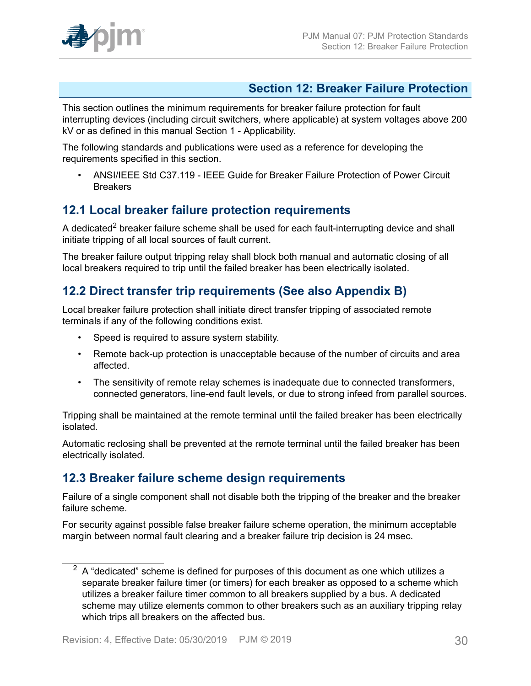

### <span id="page-29-0"></span>**Section 12: Breaker Failure Protection**

This section outlines the minimum requirements for breaker failure protection for fault interrupting devices (including circuit switchers, where applicable) at system voltages above 200 kV or as defined in this manual Section 1 - Applicability.

The following standards and publications were used as a reference for developing the requirements specified in this section.

• ANSI/IEEE Std C37.119 - IEEE Guide for Breaker Failure Protection of Power Circuit **Breakers** 

### <span id="page-29-1"></span>**12.1 Local breaker failure protection requirements**

A dedicated<sup>2</sup> breaker failure scheme shall be used for each fault-interrupting device and shall initiate tripping of all local sources of fault current.

The breaker failure output tripping relay shall block both manual and automatic closing of all local breakers required to trip until the failed breaker has been electrically isolated.

## <span id="page-29-2"></span>**12.2 Direct transfer trip requirements (See also Appendix B)**

Local breaker failure protection shall initiate direct transfer tripping of associated remote terminals if any of the following conditions exist.

- Speed is required to assure system stability.
- Remote back-up protection is unacceptable because of the number of circuits and area affected.
- The sensitivity of remote relay schemes is inadequate due to connected transformers, connected generators, line-end fault levels, or due to strong infeed from parallel sources.

Tripping shall be maintained at the remote terminal until the failed breaker has been electrically isolated.

Automatic reclosing shall be prevented at the remote terminal until the failed breaker has been electrically isolated.

### <span id="page-29-3"></span>**12.3 Breaker failure scheme design requirements**

Failure of a single component shall not disable both the tripping of the breaker and the breaker failure scheme.

For security against possible false breaker failure scheme operation, the minimum acceptable margin between normal fault clearing and a breaker failure trip decision is 24 msec.

 $2$  A "dedicated" scheme is defined for purposes of this document as one which utilizes a separate breaker failure timer (or timers) for each breaker as opposed to a scheme which utilizes a breaker failure timer common to all breakers supplied by a bus. A dedicated scheme may utilize elements common to other breakers such as an auxiliary tripping relay which trips all breakers on the affected bus.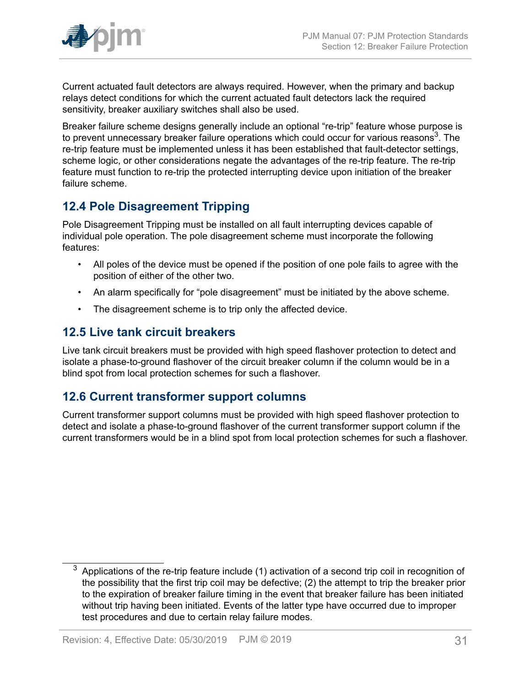

Current actuated fault detectors are always required. However, when the primary and backup relays detect conditions for which the current actuated fault detectors lack the required sensitivity, breaker auxiliary switches shall also be used.

Breaker failure scheme designs generally include an optional "re-trip" feature whose purpose is to prevent unnecessary breaker failure operations which could occur for various reasons<sup>3</sup>. The re-trip feature must be implemented unless it has been established that fault-detector settings, scheme logic, or other considerations negate the advantages of the re-trip feature. The re-trip feature must function to re-trip the protected interrupting device upon initiation of the breaker failure scheme.

## <span id="page-30-0"></span>**12.4 Pole Disagreement Tripping**

Pole Disagreement Tripping must be installed on all fault interrupting devices capable of individual pole operation. The pole disagreement scheme must incorporate the following features:

- All poles of the device must be opened if the position of one pole fails to agree with the position of either of the other two.
- An alarm specifically for "pole disagreement" must be initiated by the above scheme.
- The disagreement scheme is to trip only the affected device.

## <span id="page-30-1"></span>**12.5 Live tank circuit breakers**

Live tank circuit breakers must be provided with high speed flashover protection to detect and isolate a phase-to-ground flashover of the circuit breaker column if the column would be in a blind spot from local protection schemes for such a flashover.

## <span id="page-30-2"></span>**12.6 Current transformer support columns**

Current transformer support columns must be provided with high speed flashover protection to detect and isolate a phase-to-ground flashover of the current transformer support column if the current transformers would be in a blind spot from local protection schemes for such a flashover.

 $3$  Applications of the re-trip feature include (1) activation of a second trip coil in recognition of the possibility that the first trip coil may be defective; (2) the attempt to trip the breaker prior to the expiration of breaker failure timing in the event that breaker failure has been initiated without trip having been initiated. Events of the latter type have occurred due to improper test procedures and due to certain relay failure modes.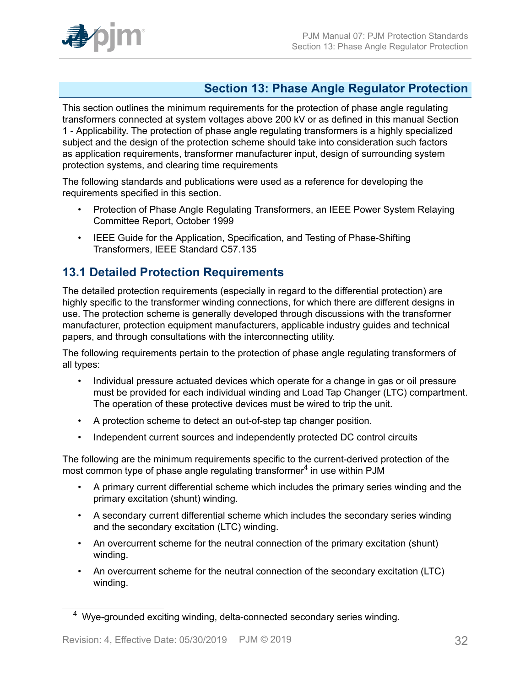

## <span id="page-31-0"></span>**Section 13: Phase Angle Regulator Protection**

This section outlines the minimum requirements for the protection of phase angle regulating transformers connected at system voltages above 200 kV or as defined in this manual Section 1 - Applicability. The protection of phase angle regulating transformers is a highly specialized subject and the design of the protection scheme should take into consideration such factors as application requirements, transformer manufacturer input, design of surrounding system protection systems, and clearing time requirements

The following standards and publications were used as a reference for developing the requirements specified in this section.

- Protection of Phase Angle Regulating Transformers, an IEEE Power System Relaying Committee Report, October 1999
- IEEE Guide for the Application, Specification, and Testing of Phase-Shifting Transformers, IEEE Standard C57.135

### <span id="page-31-1"></span>**13.1 Detailed Protection Requirements**

The detailed protection requirements (especially in regard to the differential protection) are highly specific to the transformer winding connections, for which there are different designs in use. The protection scheme is generally developed through discussions with the transformer manufacturer, protection equipment manufacturers, applicable industry guides and technical papers, and through consultations with the interconnecting utility.

The following requirements pertain to the protection of phase angle regulating transformers of all types:

- Individual pressure actuated devices which operate for a change in gas or oil pressure must be provided for each individual winding and Load Tap Changer (LTC) compartment. The operation of these protective devices must be wired to trip the unit.
- A protection scheme to detect an out-of-step tap changer position.
- Independent current sources and independently protected DC control circuits

The following are the minimum requirements specific to the current-derived protection of the most common type of phase angle regulating transformer<sup>4</sup> in use within PJM

- A primary current differential scheme which includes the primary series winding and the primary excitation (shunt) winding.
- A secondary current differential scheme which includes the secondary series winding and the secondary excitation (LTC) winding.
- An overcurrent scheme for the neutral connection of the primary excitation (shunt) winding.
- An overcurrent scheme for the neutral connection of the secondary excitation (LTC) winding.

<sup>4</sup> Wye-grounded exciting winding, delta-connected secondary series winding.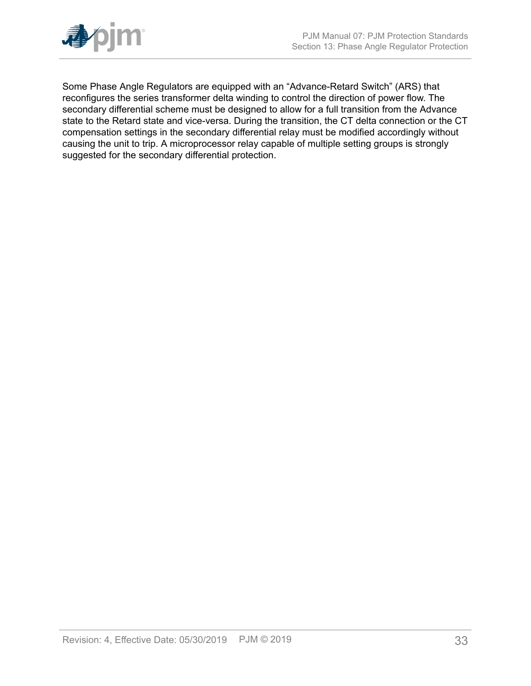

Some Phase Angle Regulators are equipped with an "Advance-Retard Switch" (ARS) that reconfigures the series transformer delta winding to control the direction of power flow. The secondary differential scheme must be designed to allow for a full transition from the Advance state to the Retard state and vice-versa. During the transition, the CT delta connection or the CT compensation settings in the secondary differential relay must be modified accordingly without causing the unit to trip. A microprocessor relay capable of multiple setting groups is strongly suggested for the secondary differential protection.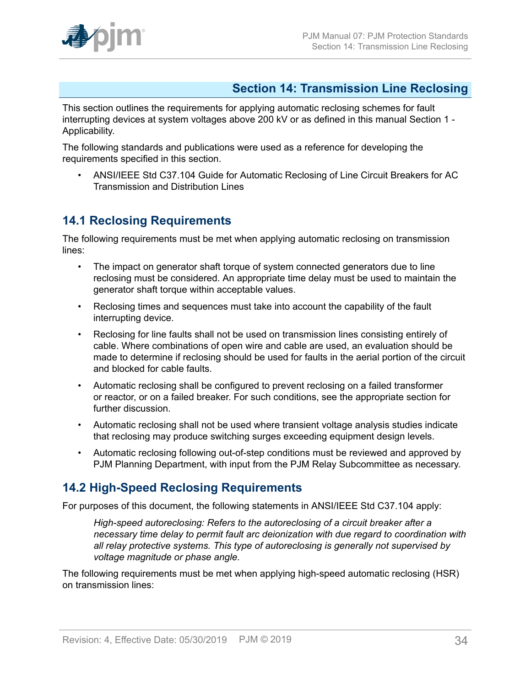## <span id="page-33-0"></span>**Section 14: Transmission Line Reclosing**

This section outlines the requirements for applying automatic reclosing schemes for fault interrupting devices at system voltages above 200 kV or as defined in this manual Section 1 - Applicability.

The following standards and publications were used as a reference for developing the requirements specified in this section.

• ANSI/IEEE Std C37.104 Guide for Automatic Reclosing of Line Circuit Breakers for AC Transmission and Distribution Lines

## <span id="page-33-1"></span>**14.1 Reclosing Requirements**

The following requirements must be met when applying automatic reclosing on transmission lines:

- The impact on generator shaft torque of system connected generators due to line reclosing must be considered. An appropriate time delay must be used to maintain the generator shaft torque within acceptable values.
- Reclosing times and sequences must take into account the capability of the fault interrupting device.
- Reclosing for line faults shall not be used on transmission lines consisting entirely of cable. Where combinations of open wire and cable are used, an evaluation should be made to determine if reclosing should be used for faults in the aerial portion of the circuit and blocked for cable faults.
- Automatic reclosing shall be configured to prevent reclosing on a failed transformer or reactor, or on a failed breaker. For such conditions, see the appropriate section for further discussion.
- Automatic reclosing shall not be used where transient voltage analysis studies indicate that reclosing may produce switching surges exceeding equipment design levels.
- Automatic reclosing following out-of-step conditions must be reviewed and approved by PJM Planning Department, with input from the PJM Relay Subcommittee as necessary.

## <span id="page-33-2"></span>**14.2 High-Speed Reclosing Requirements**

For purposes of this document, the following statements in ANSI/IEEE Std C37.104 apply:

*High-speed autoreclosing: Refers to the autoreclosing of a circuit breaker after a necessary time delay to permit fault arc deionization with due regard to coordination with all relay protective systems. This type of autoreclosing is generally not supervised by voltage magnitude or phase angle.*

The following requirements must be met when applying high-speed automatic reclosing (HSR) on transmission lines: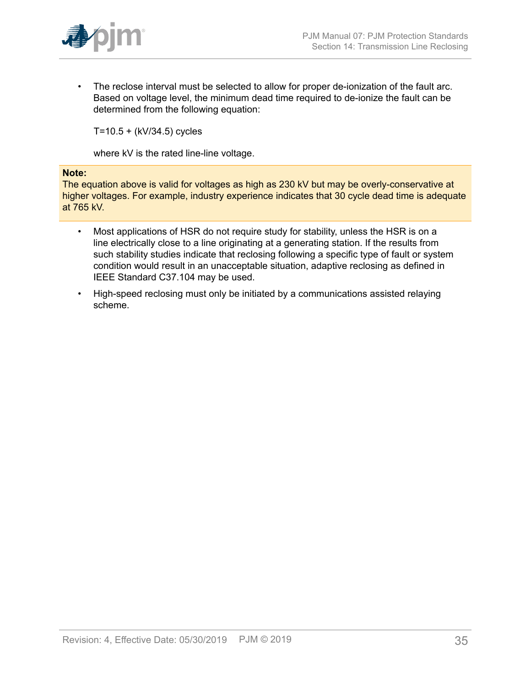

• The reclose interval must be selected to allow for proper de-ionization of the fault arc. Based on voltage level, the minimum dead time required to de-ionize the fault can be determined from the following equation:

T=10.5 + (kV/34.5) cycles

where kV is the rated line-line voltage.

#### **Note:**

The equation above is valid for voltages as high as 230 kV but may be overly-conservative at higher voltages. For example, industry experience indicates that 30 cycle dead time is adequate at 765 kV.

- Most applications of HSR do not require study for stability, unless the HSR is on a line electrically close to a line originating at a generating station. If the results from such stability studies indicate that reclosing following a specific type of fault or system condition would result in an unacceptable situation, adaptive reclosing as defined in IEEE Standard C37.104 may be used.
- High-speed reclosing must only be initiated by a communications assisted relaying scheme.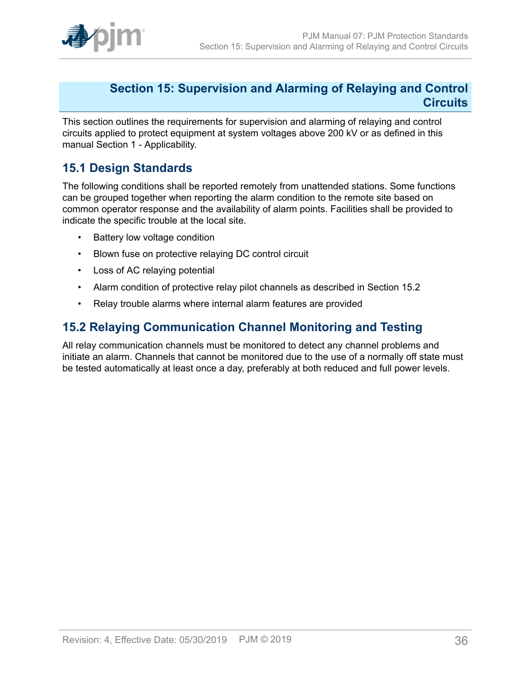

### <span id="page-35-0"></span>**Section 15: Supervision and Alarming of Relaying and Control Circuits**

This section outlines the requirements for supervision and alarming of relaying and control circuits applied to protect equipment at system voltages above 200 kV or as defined in this manual Section 1 - Applicability.

## <span id="page-35-1"></span>**15.1 Design Standards**

The following conditions shall be reported remotely from unattended stations. Some functions can be grouped together when reporting the alarm condition to the remote site based on common operator response and the availability of alarm points. Facilities shall be provided to indicate the specific trouble at the local site.

- Battery low voltage condition
- Blown fuse on protective relaying DC control circuit
- Loss of AC relaying potential
- Alarm condition of protective relay pilot channels as described in Section 15.2
- Relay trouble alarms where internal alarm features are provided

## <span id="page-35-2"></span>**15.2 Relaying Communication Channel Monitoring and Testing**

All relay communication channels must be monitored to detect any channel problems and initiate an alarm. Channels that cannot be monitored due to the use of a normally off state must be tested automatically at least once a day, preferably at both reduced and full power levels.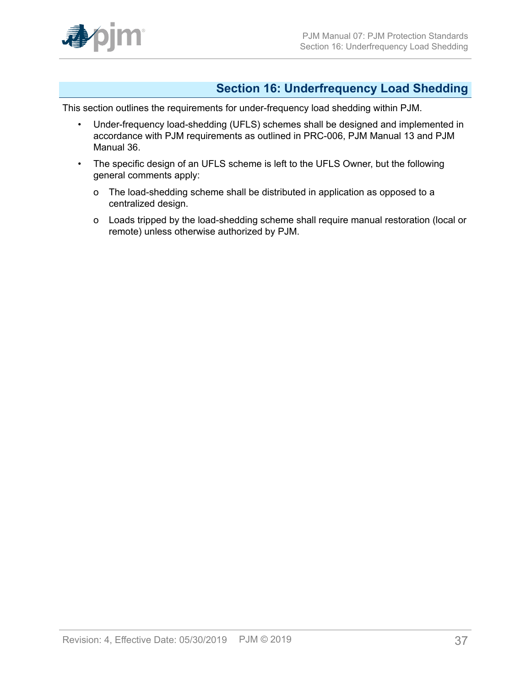

## <span id="page-36-0"></span>**Section 16: Underfrequency Load Shedding**

This section outlines the requirements for under-frequency load shedding within PJM.

- Under-frequency load-shedding (UFLS) schemes shall be designed and implemented in accordance with PJM requirements as outlined in PRC-006, PJM Manual 13 and PJM Manual 36.
- The specific design of an UFLS scheme is left to the UFLS Owner, but the following general comments apply:
	- o The load-shedding scheme shall be distributed in application as opposed to a centralized design.
	- o Loads tripped by the load-shedding scheme shall require manual restoration (local or remote) unless otherwise authorized by PJM.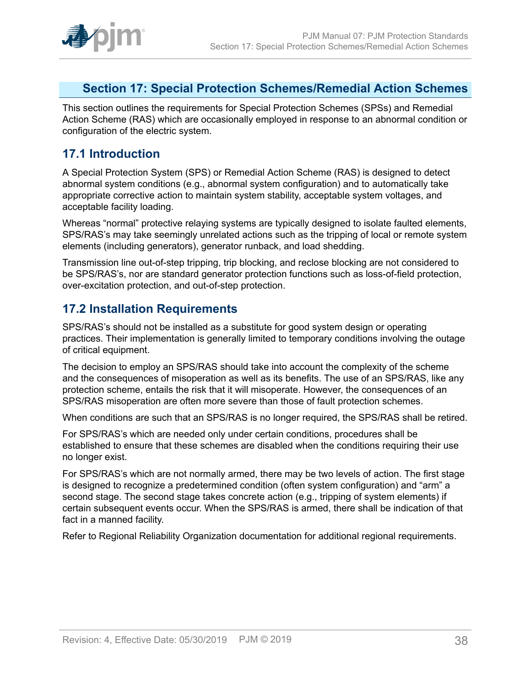

## <span id="page-37-0"></span>**Section 17: Special Protection Schemes/Remedial Action Schemes**

This section outlines the requirements for Special Protection Schemes (SPSs) and Remedial Action Scheme (RAS) which are occasionally employed in response to an abnormal condition or configuration of the electric system.

### <span id="page-37-1"></span>**17.1 Introduction**

A Special Protection System (SPS) or Remedial Action Scheme (RAS) is designed to detect abnormal system conditions (e.g., abnormal system configuration) and to automatically take appropriate corrective action to maintain system stability, acceptable system voltages, and acceptable facility loading.

Whereas "normal" protective relaying systems are typically designed to isolate faulted elements, SPS/RAS's may take seemingly unrelated actions such as the tripping of local or remote system elements (including generators), generator runback, and load shedding.

Transmission line out-of-step tripping, trip blocking, and reclose blocking are not considered to be SPS/RAS's, nor are standard generator protection functions such as loss-of-field protection, over-excitation protection, and out-of-step protection.

### <span id="page-37-2"></span>**17.2 Installation Requirements**

SPS/RAS's should not be installed as a substitute for good system design or operating practices. Their implementation is generally limited to temporary conditions involving the outage of critical equipment.

The decision to employ an SPS/RAS should take into account the complexity of the scheme and the consequences of misoperation as well as its benefits. The use of an SPS/RAS, like any protection scheme, entails the risk that it will misoperate. However, the consequences of an SPS/RAS misoperation are often more severe than those of fault protection schemes.

When conditions are such that an SPS/RAS is no longer required, the SPS/RAS shall be retired.

For SPS/RAS's which are needed only under certain conditions, procedures shall be established to ensure that these schemes are disabled when the conditions requiring their use no longer exist.

For SPS/RAS's which are not normally armed, there may be two levels of action. The first stage is designed to recognize a predetermined condition (often system configuration) and "arm" a second stage. The second stage takes concrete action (e.g., tripping of system elements) if certain subsequent events occur. When the SPS/RAS is armed, there shall be indication of that fact in a manned facility.

Refer to Regional Reliability Organization documentation for additional regional requirements.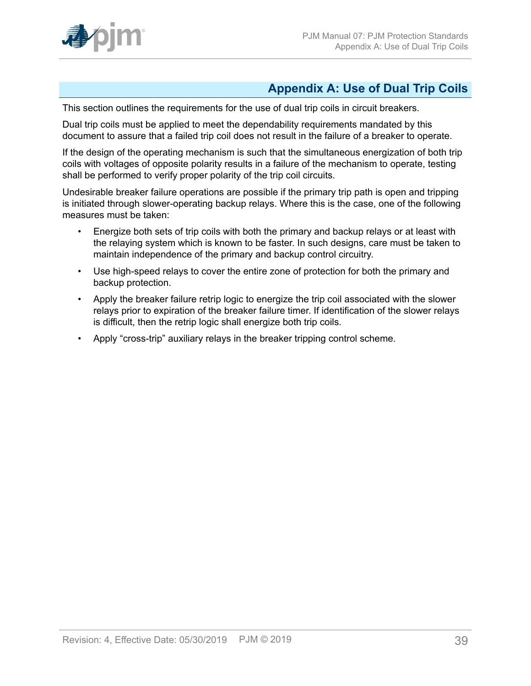

## <span id="page-38-0"></span>**Appendix A: Use of Dual Trip Coils**

This section outlines the requirements for the use of dual trip coils in circuit breakers.

Dual trip coils must be applied to meet the dependability requirements mandated by this document to assure that a failed trip coil does not result in the failure of a breaker to operate.

If the design of the operating mechanism is such that the simultaneous energization of both trip coils with voltages of opposite polarity results in a failure of the mechanism to operate, testing shall be performed to verify proper polarity of the trip coil circuits.

Undesirable breaker failure operations are possible if the primary trip path is open and tripping is initiated through slower-operating backup relays. Where this is the case, one of the following measures must be taken:

- Energize both sets of trip coils with both the primary and backup relays or at least with the relaying system which is known to be faster. In such designs, care must be taken to maintain independence of the primary and backup control circuitry.
- Use high-speed relays to cover the entire zone of protection for both the primary and backup protection.
- Apply the breaker failure retrip logic to energize the trip coil associated with the slower relays prior to expiration of the breaker failure timer. If identification of the slower relays is difficult, then the retrip logic shall energize both trip coils.
- Apply "cross-trip" auxiliary relays in the breaker tripping control scheme.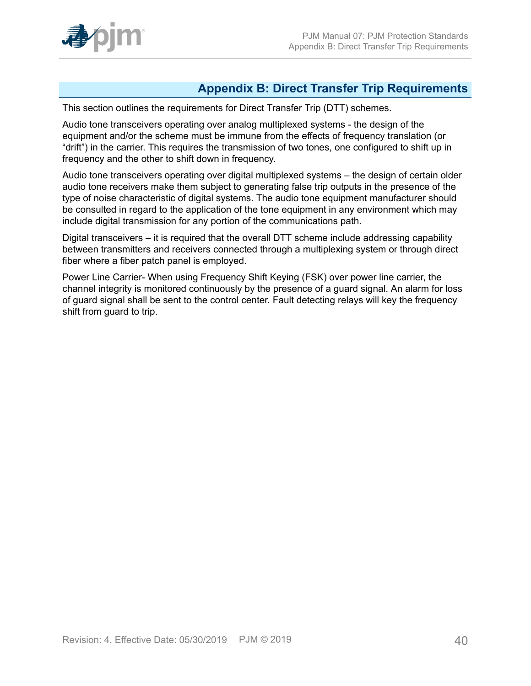

## <span id="page-39-0"></span>**Appendix B: Direct Transfer Trip Requirements**

This section outlines the requirements for Direct Transfer Trip (DTT) schemes.

Audio tone transceivers operating over analog multiplexed systems - the design of the equipment and/or the scheme must be immune from the effects of frequency translation (or "drift") in the carrier. This requires the transmission of two tones, one configured to shift up in frequency and the other to shift down in frequency.

Audio tone transceivers operating over digital multiplexed systems – the design of certain older audio tone receivers make them subject to generating false trip outputs in the presence of the type of noise characteristic of digital systems. The audio tone equipment manufacturer should be consulted in regard to the application of the tone equipment in any environment which may include digital transmission for any portion of the communications path.

Digital transceivers – it is required that the overall DTT scheme include addressing capability between transmitters and receivers connected through a multiplexing system or through direct fiber where a fiber patch panel is employed.

Power Line Carrier- When using Frequency Shift Keying (FSK) over power line carrier, the channel integrity is monitored continuously by the presence of a guard signal. An alarm for loss of guard signal shall be sent to the control center. Fault detecting relays will key the frequency shift from guard to trip.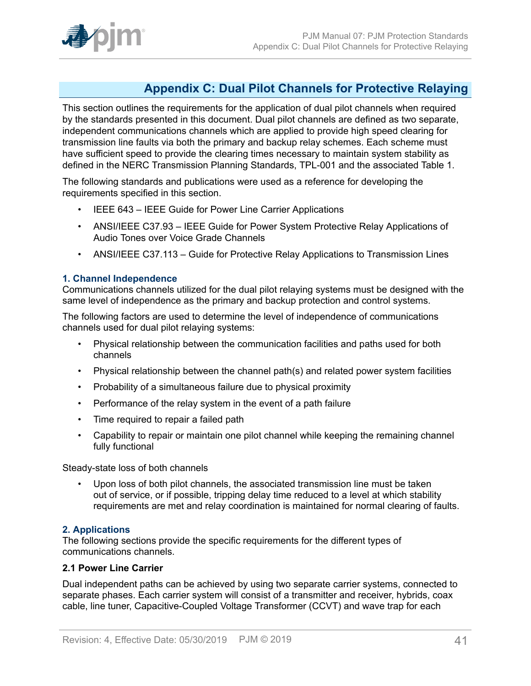

## <span id="page-40-0"></span>**Appendix C: Dual Pilot Channels for Protective Relaying**

This section outlines the requirements for the application of dual pilot channels when required by the standards presented in this document. Dual pilot channels are defined as two separate, independent communications channels which are applied to provide high speed clearing for transmission line faults via both the primary and backup relay schemes. Each scheme must have sufficient speed to provide the clearing times necessary to maintain system stability as defined in the NERC Transmission Planning Standards, TPL-001 and the associated Table 1.

The following standards and publications were used as a reference for developing the requirements specified in this section.

- IEEE 643 IEEE Guide for Power Line Carrier Applications
- ANSI/IEEE C37.93 IEEE Guide for Power System Protective Relay Applications of Audio Tones over Voice Grade Channels
- ANSI/IEEE C37.113 Guide for Protective Relay Applications to Transmission Lines

#### **1. Channel Independence**

Communications channels utilized for the dual pilot relaying systems must be designed with the same level of independence as the primary and backup protection and control systems.

The following factors are used to determine the level of independence of communications channels used for dual pilot relaying systems:

- Physical relationship between the communication facilities and paths used for both channels
- Physical relationship between the channel path(s) and related power system facilities
- Probability of a simultaneous failure due to physical proximity
- Performance of the relay system in the event of a path failure
- Time required to repair a failed path
- Capability to repair or maintain one pilot channel while keeping the remaining channel fully functional

Steady-state loss of both channels

• Upon loss of both pilot channels, the associated transmission line must be taken out of service, or if possible, tripping delay time reduced to a level at which stability requirements are met and relay coordination is maintained for normal clearing of faults.

#### **2. Applications**

The following sections provide the specific requirements for the different types of communications channels.

#### **2.1 Power Line Carrier**

Dual independent paths can be achieved by using two separate carrier systems, connected to separate phases. Each carrier system will consist of a transmitter and receiver, hybrids, coax cable, line tuner, Capacitive-Coupled Voltage Transformer (CCVT) and wave trap for each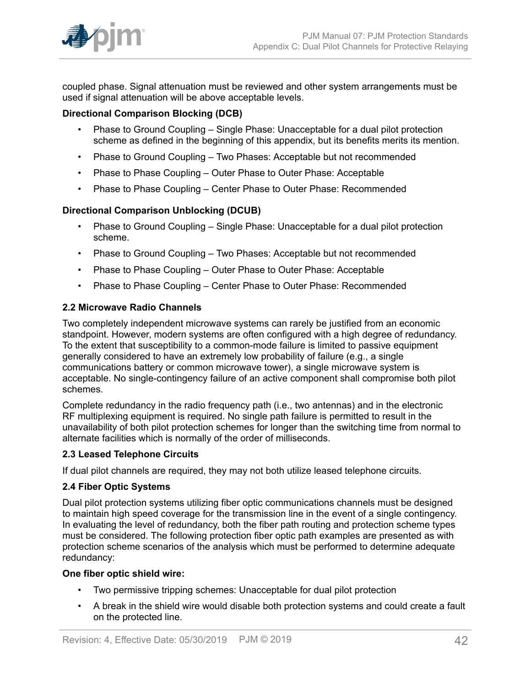

coupled phase. Signal attenuation must be reviewed and other system arrangements must be used if signal attenuation will be above acceptable levels.

### **Directional Comparison Blocking (DCB)**

- Phase to Ground Coupling Single Phase: Unacceptable for a dual pilot protection scheme as defined in the beginning of this appendix, but its benefits merits its mention.
- Phase to Ground Coupling Two Phases: Acceptable but not recommended
- Phase to Phase Coupling Outer Phase to Outer Phase: Acceptable
- Phase to Phase Coupling Center Phase to Outer Phase: Recommended

#### **Directional Comparison Unblocking (DCUB)**

- Phase to Ground Coupling Single Phase: Unacceptable for a dual pilot protection scheme.
- Phase to Ground Coupling Two Phases: Acceptable but not recommended
- Phase to Phase Coupling Outer Phase to Outer Phase: Acceptable
- Phase to Phase Coupling Center Phase to Outer Phase: Recommended

#### **2.2 Microwave Radio Channels**

Two completely independent microwave systems can rarely be justified from an economic standpoint. However, modern systems are often configured with a high degree of redundancy. To the extent that susceptibility to a common-mode failure is limited to passive equipment generally considered to have an extremely low probability of failure (e.g., a single communications battery or common microwave tower), a single microwave system is acceptable. No single-contingency failure of an active component shall compromise both pilot schemes.

Complete redundancy in the radio frequency path (i.e., two antennas) and in the electronic RF multiplexing equipment is required. No single path failure is permitted to result in the unavailability of both pilot protection schemes for longer than the switching time from normal to alternate facilities which is normally of the order of milliseconds.

#### **2.3 Leased Telephone Circuits**

If dual pilot channels are required, they may not both utilize leased telephone circuits.

#### **2.4 Fiber Optic Systems**

Dual pilot protection systems utilizing fiber optic communications channels must be designed to maintain high speed coverage for the transmission line in the event of a single contingency. In evaluating the level of redundancy, both the fiber path routing and protection scheme types must be considered. The following protection fiber optic path examples are presented as with protection scheme scenarios of the analysis which must be performed to determine adequate redundancy:

#### **One fiber optic shield wire:**

- Two permissive tripping schemes: Unacceptable for dual pilot protection
- A break in the shield wire would disable both protection systems and could create a fault on the protected line.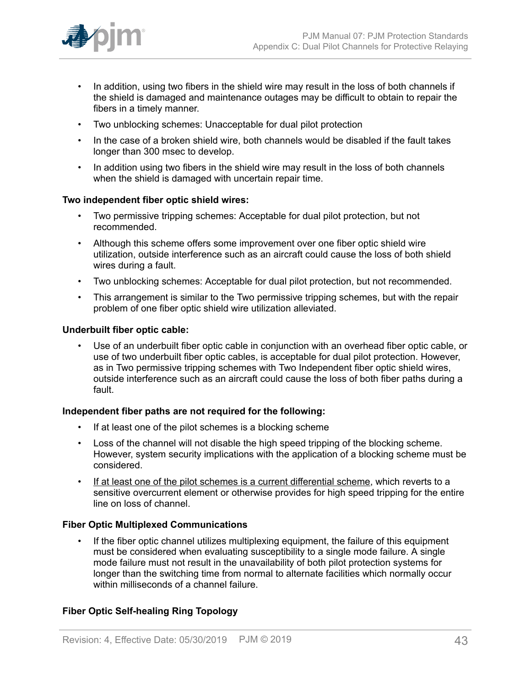

- In addition, using two fibers in the shield wire may result in the loss of both channels if the shield is damaged and maintenance outages may be difficult to obtain to repair the fibers in a timely manner.
- Two unblocking schemes: Unacceptable for dual pilot protection
- In the case of a broken shield wire, both channels would be disabled if the fault takes longer than 300 msec to develop.
- In addition using two fibers in the shield wire may result in the loss of both channels when the shield is damaged with uncertain repair time.

#### **Two independent fiber optic shield wires:**

- Two permissive tripping schemes: Acceptable for dual pilot protection, but not recommended.
- Although this scheme offers some improvement over one fiber optic shield wire utilization, outside interference such as an aircraft could cause the loss of both shield wires during a fault.
- Two unblocking schemes: Acceptable for dual pilot protection, but not recommended.
- This arrangement is similar to the Two permissive tripping schemes, but with the repair problem of one fiber optic shield wire utilization alleviated.

#### **Underbuilt fiber optic cable:**

• Use of an underbuilt fiber optic cable in conjunction with an overhead fiber optic cable, or use of two underbuilt fiber optic cables, is acceptable for dual pilot protection. However, as in Two permissive tripping schemes with Two Independent fiber optic shield wires, outside interference such as an aircraft could cause the loss of both fiber paths during a fault.

#### **Independent fiber paths are not required for the following:**

- If at least one of the pilot schemes is a blocking scheme
- Loss of the channel will not disable the high speed tripping of the blocking scheme. However, system security implications with the application of a blocking scheme must be considered.
- If at least one of the pilot schemes is a current differential scheme, which reverts to a sensitive overcurrent element or otherwise provides for high speed tripping for the entire line on loss of channel.

#### **Fiber Optic Multiplexed Communications**

• If the fiber optic channel utilizes multiplexing equipment, the failure of this equipment must be considered when evaluating susceptibility to a single mode failure. A single mode failure must not result in the unavailability of both pilot protection systems for longer than the switching time from normal to alternate facilities which normally occur within milliseconds of a channel failure.

### **Fiber Optic Self-healing Ring Topology**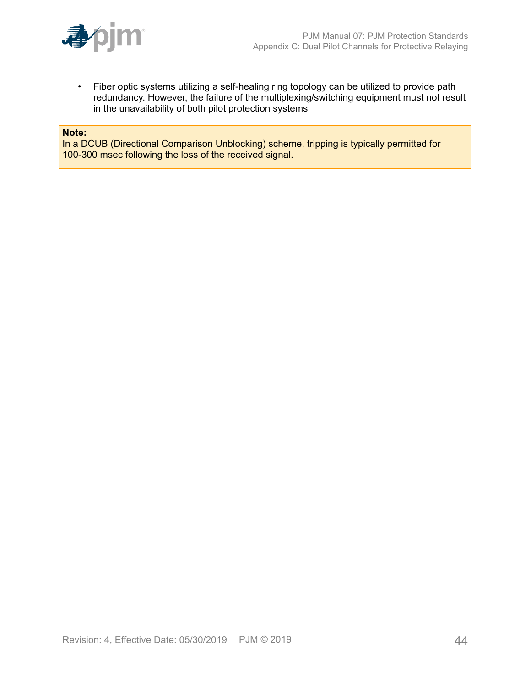

• Fiber optic systems utilizing a self-healing ring topology can be utilized to provide path redundancy. However, the failure of the multiplexing/switching equipment must not result in the unavailability of both pilot protection systems

#### **Note:**

In a DCUB (Directional Comparison Unblocking) scheme, tripping is typically permitted for 100-300 msec following the loss of the received signal.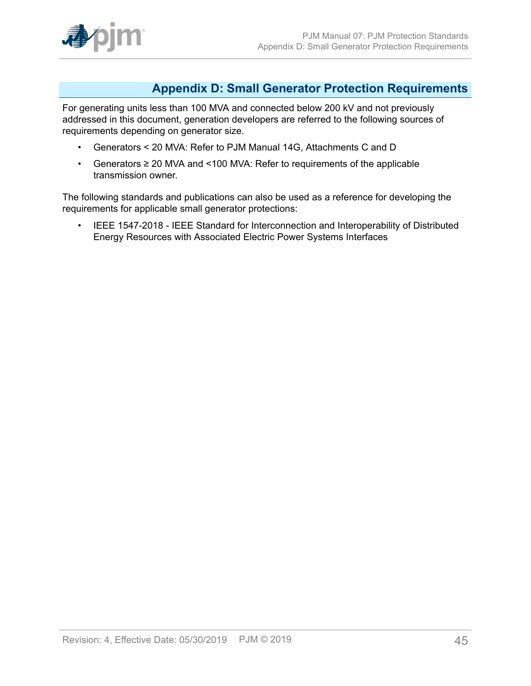

### <span id="page-44-0"></span>**Appendix D: Small Generator Protection Requirements**

For generating units less than 100 MVA and connected below 200 kV and not previously addressed in this document, generation developers are referred to the following sources of requirements depending on generator size.

- Generators < 20 MVA: Refer to PJM Manual 14G, Attachments C and D
- Generators ≥ 20 MVA and <100 MVA: Refer to requirements of the applicable transmission owner.

The following standards and publications can also be used as a reference for developing the requirements for applicable small generator protections:

• IEEE 1547-2018 - IEEE Standard for Interconnection and Interoperability of Distributed Energy Resources with Associated Electric Power Systems Interfaces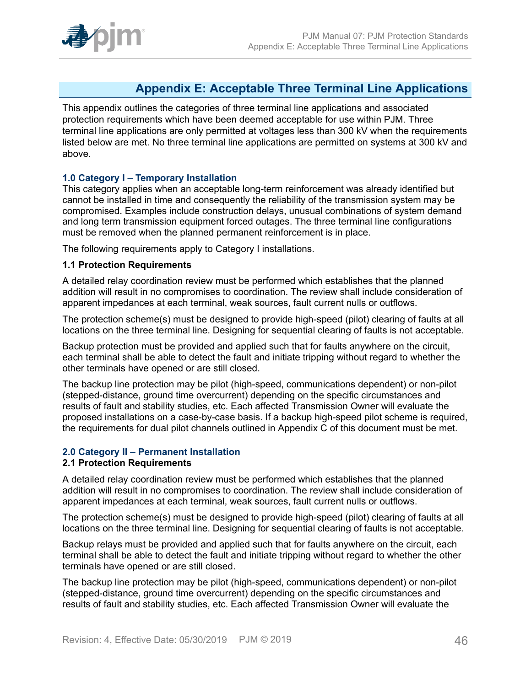

## <span id="page-45-0"></span>**Appendix E: Acceptable Three Terminal Line Applications**

This appendix outlines the categories of three terminal line applications and associated protection requirements which have been deemed acceptable for use within PJM. Three terminal line applications are only permitted at voltages less than 300 kV when the requirements listed below are met. No three terminal line applications are permitted on systems at 300 kV and above.

### **1.0 Category I – Temporary Installation**

This category applies when an acceptable long-term reinforcement was already identified but cannot be installed in time and consequently the reliability of the transmission system may be compromised. Examples include construction delays, unusual combinations of system demand and long term transmission equipment forced outages. The three terminal line configurations must be removed when the planned permanent reinforcement is in place.

The following requirements apply to Category I installations.

#### **1.1 Protection Requirements**

A detailed relay coordination review must be performed which establishes that the planned addition will result in no compromises to coordination. The review shall include consideration of apparent impedances at each terminal, weak sources, fault current nulls or outflows.

The protection scheme(s) must be designed to provide high-speed (pilot) clearing of faults at all locations on the three terminal line. Designing for sequential clearing of faults is not acceptable.

Backup protection must be provided and applied such that for faults anywhere on the circuit, each terminal shall be able to detect the fault and initiate tripping without regard to whether the other terminals have opened or are still closed.

The backup line protection may be pilot (high-speed, communications dependent) or non-pilot (stepped-distance, ground time overcurrent) depending on the specific circumstances and results of fault and stability studies, etc. Each affected Transmission Owner will evaluate the proposed installations on a case-by-case basis. If a backup high-speed pilot scheme is required, the requirements for dual pilot channels outlined in Appendix C of this document must be met.

### **2.0 Category II – Permanent Installation**

### **2.1 Protection Requirements**

A detailed relay coordination review must be performed which establishes that the planned addition will result in no compromises to coordination. The review shall include consideration of apparent impedances at each terminal, weak sources, fault current nulls or outflows.

The protection scheme(s) must be designed to provide high-speed (pilot) clearing of faults at all locations on the three terminal line. Designing for sequential clearing of faults is not acceptable.

Backup relays must be provided and applied such that for faults anywhere on the circuit, each terminal shall be able to detect the fault and initiate tripping without regard to whether the other terminals have opened or are still closed.

The backup line protection may be pilot (high-speed, communications dependent) or non-pilot (stepped-distance, ground time overcurrent) depending on the specific circumstances and results of fault and stability studies, etc. Each affected Transmission Owner will evaluate the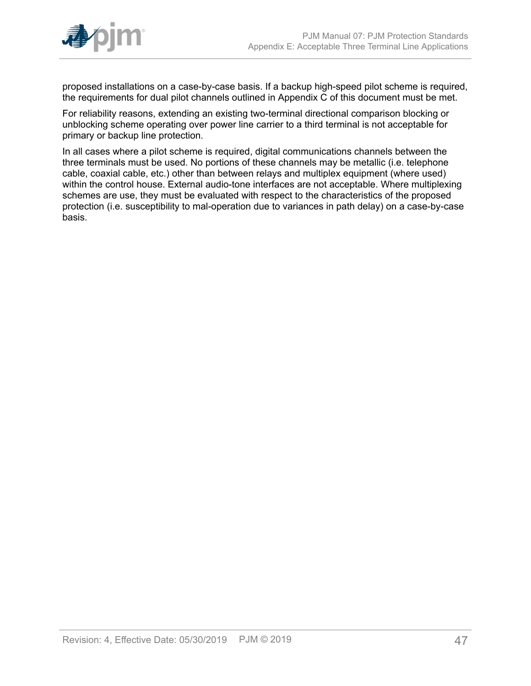

proposed installations on a case-by-case basis. If a backup high-speed pilot scheme is required, the requirements for dual pilot channels outlined in Appendix C of this document must be met.

For reliability reasons, extending an existing two-terminal directional comparison blocking or unblocking scheme operating over power line carrier to a third terminal is not acceptable for primary or backup line protection.

In all cases where a pilot scheme is required, digital communications channels between the three terminals must be used. No portions of these channels may be metallic (i.e. telephone cable, coaxial cable, etc.) other than between relays and multiplex equipment (where used) within the control house. External audio-tone interfaces are not acceptable. Where multiplexing schemes are use, they must be evaluated with respect to the characteristics of the proposed protection (i.e. susceptibility to mal-operation due to variances in path delay) on a case-by-case basis.